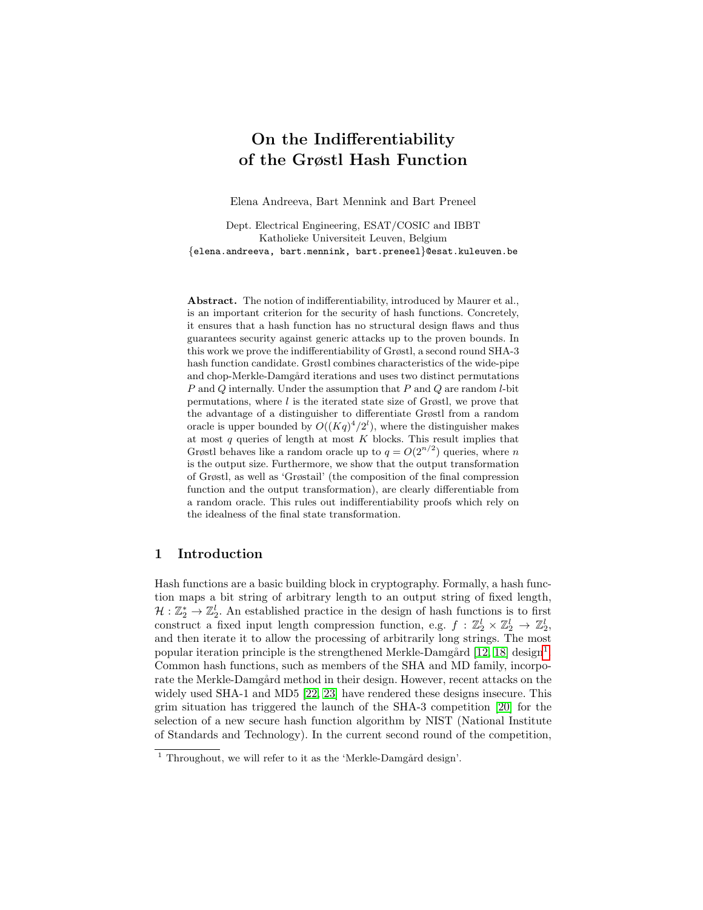# On the Indifferentiability of the Grøstl Hash Function

Elena Andreeva, Bart Mennink and Bart Preneel

Dept. Electrical Engineering, ESAT/COSIC and IBBT Katholieke Universiteit Leuven, Belgium {elena.andreeva, bart.mennink, bart.preneel}@esat.kuleuven.be

Abstract. The notion of indifferentiability, introduced by Maurer et al., is an important criterion for the security of hash functions. Concretely, it ensures that a hash function has no structural design flaws and thus guarantees security against generic attacks up to the proven bounds. In this work we prove the indifferentiability of Grøstl, a second round SHA-3 hash function candidate. Grøstl combines characteristics of the wide-pipe and chop-Merkle-Damgård iterations and uses two distinct permutations P and Q internally. Under the assumption that P and Q are random l-bit permutations, where  $l$  is the iterated state size of Grøstl, we prove that the advantage of a distinguisher to differentiate Grøstl from a random oracle is upper bounded by  $O((Kq)^4/2^l)$ , where the distinguisher makes at most  $q$  queries of length at most  $K$  blocks. This result implies that Grøstl behaves like a random oracle up to  $q = O(2^{n/2})$  queries, where n is the output size. Furthermore, we show that the output transformation of Grøstl, as well as 'Grøstail' (the composition of the final compression function and the output transformation), are clearly differentiable from a random oracle. This rules out indifferentiability proofs which rely on the idealness of the final state transformation.

# 1 Introduction

Hash functions are a basic building block in cryptography. Formally, a hash function maps a bit string of arbitrary length to an output string of fixed length,  $\mathcal{H} : \mathbb{Z}_2^* \to \mathbb{Z}_2^l$ . An established practice in the design of hash functions is to first construct a fixed input length compression function, e.g.  $f : \mathbb{Z}_2^l \times \mathbb{Z}_2^l \to \mathbb{Z}_2^l$ , and then iterate it to allow the processing of arbitrarily long strings. The most popular iteration principle is the strengthened Merkle-Damgård  $[12, 18]$  $[12, 18]$  design<sup>[1](#page-0-0)</sup>. Common hash functions, such as members of the SHA and MD family, incorporate the Merkle-Damgård method in their design. However, recent attacks on the widely used SHA-1 and MD5 [\[22,](#page-16-1) [23\]](#page-16-2) have rendered these designs insecure. This grim situation has triggered the launch of the SHA-3 competition [\[20\]](#page-16-3) for the selection of a new secure hash function algorithm by NIST (National Institute of Standards and Technology). In the current second round of the competition,

<span id="page-0-0"></span><sup>&</sup>lt;sup>1</sup> Throughout, we will refer to it as the 'Merkle-Damgård design'.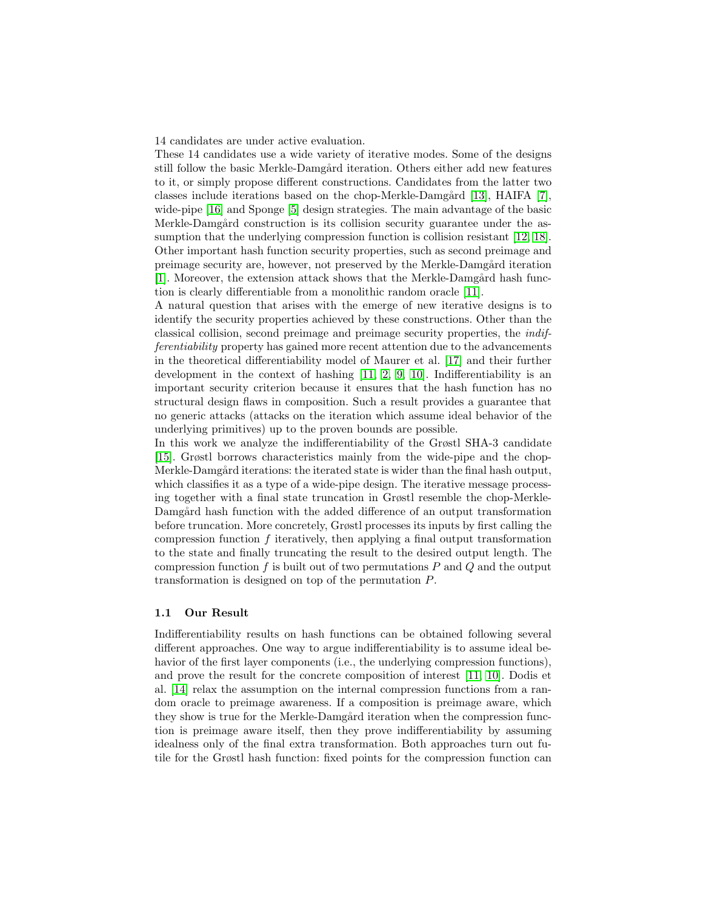14 candidates are under active evaluation.

These 14 candidates use a wide variety of iterative modes. Some of the designs still follow the basic Merkle-Damgård iteration. Others either add new features to it, or simply propose different constructions. Candidates from the latter two classes include iterations based on the chop-Merkle-Damgård [\[13\]](#page-15-1),  $HAIFA$  [\[7\]](#page-14-0), wide-pipe [\[16\]](#page-16-4) and Sponge [\[5\]](#page-14-1) design strategies. The main advantage of the basic Merkle-Damgård construction is its collision security guarantee under the assumption that the underlying compression function is collision resistant [\[12,](#page-15-0) [18\]](#page-16-0). Other important hash function security properties, such as second preimage and preimage security are, however, not preserved by the Merkle-Damgård iteration  $[1]$ . Moreover, the extension attack shows that the Merkle-Damgård hash function is clearly differentiable from a monolithic random oracle [\[11\]](#page-15-2).

A natural question that arises with the emerge of new iterative designs is to identify the security properties achieved by these constructions. Other than the classical collision, second preimage and preimage security properties, the indifferentiability property has gained more recent attention due to the advancements in the theoretical differentiability model of Maurer et al. [\[17\]](#page-16-5) and their further development in the context of hashing [\[11,](#page-15-2) [2,](#page-14-3) [9,](#page-15-3) [10\]](#page-15-4). Indifferentiability is an important security criterion because it ensures that the hash function has no structural design flaws in composition. Such a result provides a guarantee that no generic attacks (attacks on the iteration which assume ideal behavior of the underlying primitives) up to the proven bounds are possible.

In this work we analyze the indifferentiability of the Grøstl SHA-3 candidate [\[15\]](#page-16-6). Grøstl borrows characteristics mainly from the wide-pipe and the chop-Merkle-Damgård iterations: the iterated state is wider than the final hash output, which classifies it as a type of a wide-pipe design. The iterative message processing together with a final state truncation in Grøstl resemble the chop-Merkle-Damgård hash function with the added difference of an output transformation before truncation. More concretely, Grøstl processes its inputs by first calling the compression function f iteratively, then applying a final output transformation to the state and finally truncating the result to the desired output length. The compression function f is built out of two permutations  $P$  and  $Q$  and the output transformation is designed on top of the permutation P.

### 1.1 Our Result

Indifferentiability results on hash functions can be obtained following several different approaches. One way to argue indifferentiability is to assume ideal behavior of the first layer components (i.e., the underlying compression functions), and prove the result for the concrete composition of interest [\[11,](#page-15-2) [10\]](#page-15-4). Dodis et al. [\[14\]](#page-15-5) relax the assumption on the internal compression functions from a random oracle to preimage awareness. If a composition is preimage aware, which they show is true for the Merkle-Damgård iteration when the compression function is preimage aware itself, then they prove indifferentiability by assuming idealness only of the final extra transformation. Both approaches turn out futile for the Grøstl hash function: fixed points for the compression function can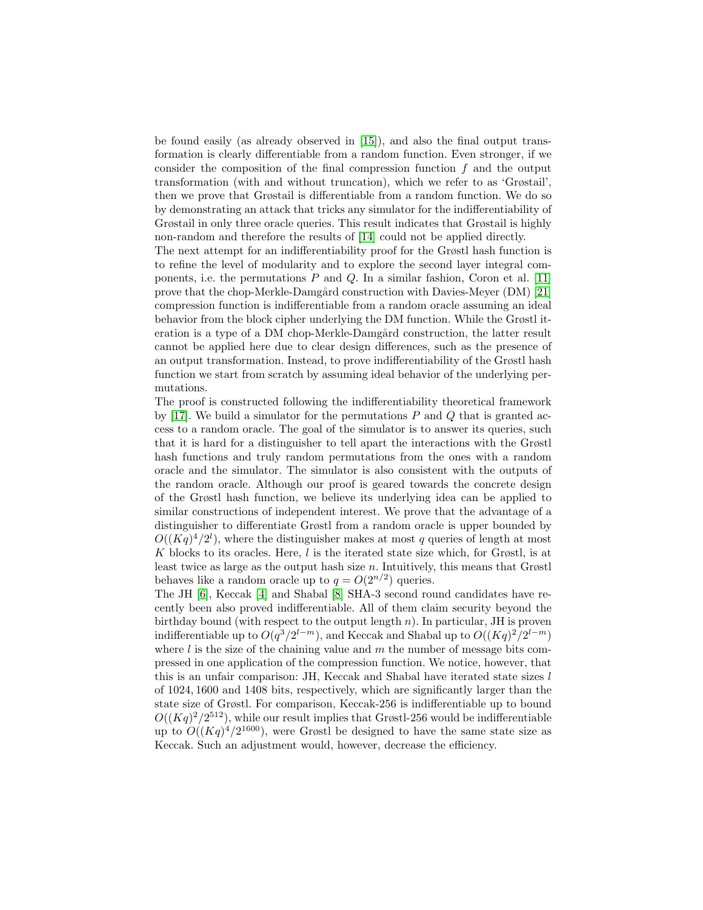be found easily (as already observed in [\[15\]](#page-16-6)), and also the final output transformation is clearly differentiable from a random function. Even stronger, if we consider the composition of the final compression function  $f$  and the output transformation (with and without truncation), which we refer to as 'Grøstail', then we prove that Grøstail is differentiable from a random function. We do so by demonstrating an attack that tricks any simulator for the indifferentiability of Grøstail in only three oracle queries. This result indicates that Grøstail is highly non-random and therefore the results of [\[14\]](#page-15-5) could not be applied directly.

The next attempt for an indifferentiability proof for the Grøstl hash function is to refine the level of modularity and to explore the second layer integral components, i.e. the permutations  $P$  and  $Q$ . In a similar fashion, Coron et al. [\[11\]](#page-15-2) prove that the chop-Merkle-Damgård construction with Davies-Meyer (DM) [\[21\]](#page-16-7) compression function is indifferentiable from a random oracle assuming an ideal behavior from the block cipher underlying the DM function. While the Grøstl iteration is a type of a DM chop-Merkle-Damgård construction, the latter result cannot be applied here due to clear design differences, such as the presence of an output transformation. Instead, to prove indifferentiability of the Grøstl hash function we start from scratch by assuming ideal behavior of the underlying permutations.

The proof is constructed following the indifferentiability theoretical framework by [\[17\]](#page-16-5). We build a simulator for the permutations  $P$  and  $Q$  that is granted access to a random oracle. The goal of the simulator is to answer its queries, such that it is hard for a distinguisher to tell apart the interactions with the Grøstl hash functions and truly random permutations from the ones with a random oracle and the simulator. The simulator is also consistent with the outputs of the random oracle. Although our proof is geared towards the concrete design of the Grøstl hash function, we believe its underlying idea can be applied to similar constructions of independent interest. We prove that the advantage of a distinguisher to differentiate Grøstl from a random oracle is upper bounded by  $O((Kq)^4/2^l)$ , where the distinguisher makes at most q queries of length at most K blocks to its oracles. Here,  $l$  is the iterated state size which, for Grøstl, is at least twice as large as the output hash size n. Intuitively, this means that Grøstl behaves like a random oracle up to  $q = O(2^{n/2})$  queries.

The JH [\[6\]](#page-14-4), Keccak [\[4\]](#page-14-5) and Shabal [\[8\]](#page-14-6) SHA-3 second round candidates have recently been also proved indifferentiable. All of them claim security beyond the birthday bound (with respect to the output length  $n$ ). In particular, JH is proven indifferentiable up to  $O(q^3/2^{l-m})$ , and Keccak and Shabal up to  $O((Kq)^2/2^{l-m})$ where  $l$  is the size of the chaining value and  $m$  the number of message bits compressed in one application of the compression function. We notice, however, that this is an unfair comparison: JH, Keccak and Shabal have iterated state sizes  $l$ of 1024, 1600 and 1408 bits, respectively, which are significantly larger than the state size of Grøstl. For comparison, Keccak-256 is indifferentiable up to bound  $O((Kq)^2/2^{512})$ , while our result implies that Grøstl-256 would be indifferentiable up to  $O((Kq)^4/2^{1600})$ , were Grøstl be designed to have the same state size as Keccak. Such an adjustment would, however, decrease the efficiency.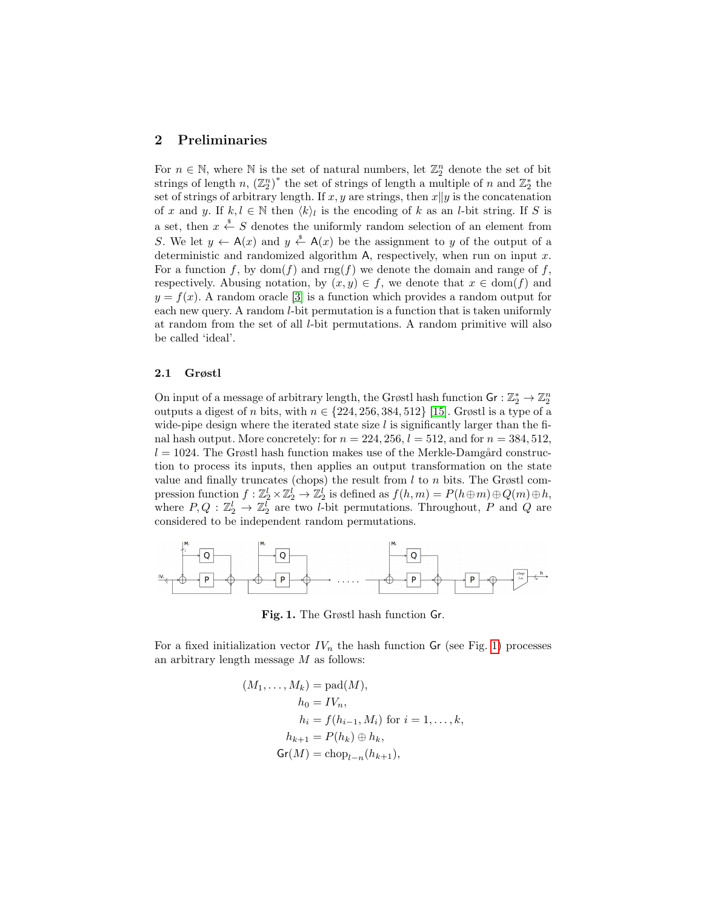# 2 Preliminaries

For  $n \in \mathbb{N}$ , where  $\mathbb N$  is the set of natural numbers, let  $\mathbb{Z}_2^n$  denote the set of bit strings of length n,  $(\mathbb{Z}_2^n)^*$  the set of strings of length a multiple of n and  $\mathbb{Z}_2^*$  the set of strings of arbitrary length. If x, y are strings, then  $x||y$  is the concatenation of x and y. If  $k, l \in \mathbb{N}$  then  $\langle k \rangle_l$  is the encoding of k as an l-bit string. If S is a set, then  $x \stackrel{s}{\leftarrow} S$  denotes the uniformly random selection of an element from S. We let  $y \leftarrow A(x)$  and  $y \stackrel{\$}{\leftarrow} A(x)$  be the assignment to y of the output of a deterministic and randomized algorithm  $A$ , respectively, when run on input  $x$ . For a function f, by dom(f) and rng(f) we denote the domain and range of f, respectively. Abusing notation, by  $(x, y) \in f$ , we denote that  $x \in \text{dom}(f)$  and  $y = f(x)$ . A random oracle [\[3\]](#page-14-7) is a function which provides a random output for each new query. A random l-bit permutation is a function that is taken uniformly at random from the set of all l-bit permutations. A random primitive will also be called 'ideal'.

#### <span id="page-3-1"></span>2.1 Grøstl

On input of a message of arbitrary length, the Grøstl hash function  $\mathsf{Gr}: \mathbb{Z}_2^* \to \mathbb{Z}_2^n$ outputs a digest of n bits, with  $n \in \{224, 256, 384, 512\}$  [\[15\]](#page-16-6). Grøstl is a type of a wide-pipe design where the iterated state size  $l$  is significantly larger than the final hash output. More concretely: for  $n = 224, 256, l = 512$ , and for  $n = 384, 512$ ,  $l = 1024$ . The Grøstl hash function makes use of the Merkle-Damgård construction to process its inputs, then applies an output transformation on the state value and finally truncates (chops) the result from  $l$  to  $n$  bits. The Grøstl compression function  $f: \mathbb{Z}_2^l \times \mathbb{Z}_2^l \to \mathbb{Z}_2^l$  is defined as  $f(h,m) = P(h \oplus m) \oplus Q(m) \oplus h$ , where  $P, Q: \mathbb{Z}_2^l \to \mathbb{Z}_2^l$  are two *l*-bit permutations. Throughout, P and Q are considered to be independent random permutations.



<span id="page-3-0"></span>Fig. 1. The Grøstl hash function Gr.

For a fixed initialization vector  $IV_n$  the hash function Gr (see Fig. [1\)](#page-3-0) processes an arbitrary length message  $M$  as follows:

$$
(M_1, \ldots, M_k) = \text{pad}(M),
$$
  
\n
$$
h_0 = IV_n,
$$
  
\n
$$
h_i = f(h_{i-1}, M_i) \text{ for } i = 1, \ldots, k,
$$
  
\n
$$
h_{k+1} = P(h_k) \oplus h_k,
$$
  
\n
$$
\text{Gr}(M) = \text{chop}_{l-n}(h_{k+1}),
$$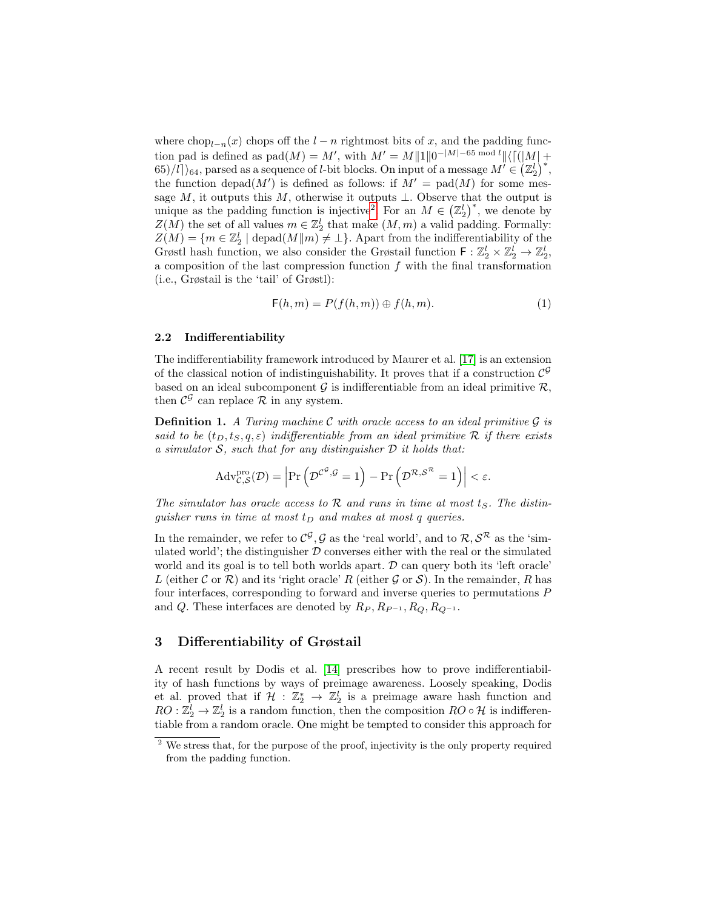where  $chop_{l-n}(x)$  chops off the  $l - n$  rightmost bits of x, and the padding function pad is defined as  $pad(M) = M'$ , with  $M' = M||1||0^{-|M|-65 \text{ mod } l}||\langle[(|M| +$  $(65)/l$ } $\langle h \rangle_{64}$ , parsed as a sequence of l-bit blocks. On input of a message  $M' \in (\mathbb{Z}_2^l)^*$ , the function depad $(M')$  is defined as follows: if  $M' = \text{pad}(M)$  for some message M, it outputs this M, otherwise it outputs  $\perp$ . Observe that the output is unique as the padding function is injective<sup>[2](#page-4-0)</sup>. For an  $M \in (\mathbb{Z}_2^l)^*$ , we denote by  $Z(M)$  the set of all values  $m \in \mathbb{Z}_2^l$  that make  $(M, m)$  a valid padding. Formally:  $Z(M) = \{m \in \mathbb{Z}_2^l \mid \text{depend}(M||m) \neq \perp\}.$  Apart from the indifferentiability of the Grøstl hash function, we also consider the Grøstail function  $F: \mathbb{Z}_2^l \times \mathbb{Z}_2^l \to \mathbb{Z}_2^l$ , a composition of the last compression function  $f$  with the final transformation (i.e., Grøstail is the 'tail' of Grøstl):

<span id="page-4-2"></span><span id="page-4-1"></span>
$$
F(h,m) = P(f(h,m)) \oplus f(h,m).
$$
 (1)

#### 2.2 Indifferentiability

The indifferentiability framework introduced by Maurer et al. [\[17\]](#page-16-5) is an extension of the classical notion of indistinguishability. It proves that if a construction  $\mathcal{C}^{\mathcal{G}}$ based on an ideal subcomponent G is indifferentiable from an ideal primitive  $\mathcal{R}$ , then  $\mathcal{C}^{\mathcal{G}}$  can replace  $\mathcal{R}$  in any system.

**Definition 1.** A Turing machine  $\mathcal C$  with oracle access to an ideal primitive  $\mathcal G$  is said to be  $(t_D, t_S, q, \varepsilon)$  indifferentiable from an ideal primitive R if there exists a simulator  $S$ , such that for any distinguisher  $D$  it holds that:

$$
\mathrm{Adv}_{\mathcal{C},\mathcal{S}}^{\mathrm{pro}}(\mathcal{D}) = \left| \Pr \left( \mathcal{D}^{\mathcal{C}^\mathcal{G},\mathcal{G}} = 1 \right) - \Pr \left( \mathcal{D}^{\mathcal{R},\mathcal{S}^\mathcal{R}} = 1 \right) \right| < \varepsilon.
$$

The simulator has oracle access to R and runs in time at most  $t<sub>S</sub>$ . The distinquisher runs in time at most  $t_D$  and makes at most q queries.

In the remainder, we refer to  $\mathcal{C}^{\mathcal{G}}, \mathcal{G}$  as the 'real world', and to  $\mathcal{R}, \mathcal{S}^{\mathcal{R}}$  as the 'simulated world'; the distinguisher  $D$  converses either with the real or the simulated world and its goal is to tell both worlds apart.  $\mathcal D$  can query both its 'left oracle' L (either C or R) and its 'right oracle' R (either G or S). In the remainder, R has four interfaces, corresponding to forward and inverse queries to permutations P and Q. These interfaces are denoted by  $R_P, R_{P^{-1}}, R_Q, R_{Q^{-1}}$ .

# 3 Differentiability of Grøstail

A recent result by Dodis et al. [\[14\]](#page-15-5) prescribes how to prove indifferentiability of hash functions by ways of preimage awareness. Loosely speaking, Dodis et al. proved that if  $\mathcal{H} : \mathbb{Z}_2^* \to \mathbb{Z}_2^l$  is a preimage aware hash function and  $RO: \mathbb{Z}_2^l \to \mathbb{Z}_2^l$  is a random function, then the composition  $RO \circ H$  is indifferentiable from a random oracle. One might be tempted to consider this approach for

<span id="page-4-0"></span><sup>&</sup>lt;sup>2</sup> We stress that, for the purpose of the proof, injectivity is the only property required from the padding function.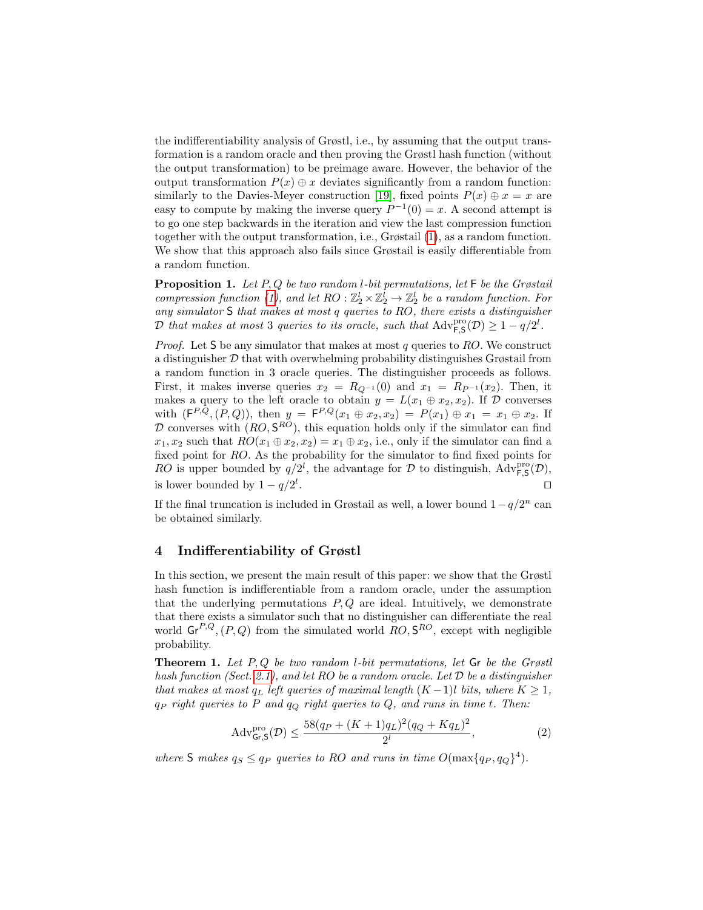the indifferentiability analysis of Grøstl, i.e., by assuming that the output transformation is a random oracle and then proving the Grøstl hash function (without the output transformation) to be preimage aware. However, the behavior of the output transformation  $P(x) \oplus x$  deviates significantly from a random function: similarly to the Davies-Meyer construction [\[19\]](#page-16-8), fixed points  $P(x) \oplus x = x$  are easy to compute by making the inverse query  $P^{-1}(0) = x$ . A second attempt is to go one step backwards in the iteration and view the last compression function together with the output transformation, i.e., Grøstail [\(1\)](#page-4-1), as a random function. We show that this approach also fails since Grøstail is easily differentiable from a random function.

**Proposition 1.** Let  $P, Q$  be two random *l*-bit permutations, let  $F$  be the Grøstail compression function [\(1\)](#page-4-1), and let  $RO : \mathbb{Z}_2^l \times \mathbb{Z}_2^l \to \mathbb{Z}_2^l$  be a random function. For any simulator S that makes at most q queries to RO, there exists a distinguisher D that makes at most 3 queries to its oracle, such that  $\text{Adv}_{\mathsf{F},\mathsf{S}}^{\text{pro}}(\mathcal{D}) \geq 1 - q/2^l$ .

*Proof.* Let S be any simulator that makes at most q queries to RO. We construct a distinguisher D that with overwhelming probability distinguishes Grøstail from a random function in 3 oracle queries. The distinguisher proceeds as follows. First, it makes inverse queries  $x_2 = R_{Q^{-1}}(0)$  and  $x_1 = R_{P^{-1}}(x_2)$ . Then, it makes a query to the left oracle to obtain  $y = L(x_1 \oplus x_2, x_2)$ . If  $D$  converses with  $(F^{P,Q}, (P,Q))$ , then  $y = F^{P,Q}(x_1 \oplus x_2, x_2) = P(x_1) \oplus x_1 = x_1 \oplus x_2$ . If  $D$  converses with  $(RO, S^{RO})$ , this equation holds only if the simulator can find  $x_1, x_2$  such that  $RO(x_1 \oplus x_2, x_2) = x_1 \oplus x_2$ , i.e., only if the simulator can find a fixed point for RO. As the probability for the simulator to find fixed points for RO is upper bounded by  $q/2^l$ , the advantage for D to distinguish,  $\text{Adv}_{\mathsf{F},\mathsf{S}}^{\text{pro}}(\mathcal{D})$ , is lower bounded by  $1 - q/2^l$ . The contract of the contract of  $\Box$ 

If the final truncation is included in Grøstail as well, a lower bound  $1 - q/2^n$  can be obtained similarly.

# 4 Indifferentiability of Grøstl

In this section, we present the main result of this paper: we show that the Grøstl hash function is indifferentiable from a random oracle, under the assumption that the underlying permutations  $P, Q$  are ideal. Intuitively, we demonstrate that there exists a simulator such that no distinguisher can differentiate the real world  $\mathsf{Gr}^{P,Q}, (P,Q)$  from the simulated world  $RO, \mathsf{S}^{RO}$ , except with negligible probability.

<span id="page-5-0"></span>**Theorem 1.** Let  $P, Q$  be two random *l*-bit permutations, let  $G$ r be the Grøstl hash function (Sect. [2.1\)](#page-3-1), and let RO be a random oracle. Let  $D$  be a distinguisher that makes at most  $q_L$  left queries of maximal length  $(K-1)l$  bits, where  $K \geq 1$ ,  $q_P$  right queries to P and  $q_Q$  right queries to Q, and runs in time t. Then:

$$
Adv_{\mathsf{Gr},\mathsf{S}}^{\text{pro}}(\mathcal{D}) \le \frac{58(q_P + (K+1)q_L)^2(q_Q + Kq_L)^2}{2^l},\tag{2}
$$

where S makes  $q_S \leq q_P$  queries to RO and runs in time  $O(\max\{q_P, q_Q\}^4)$ .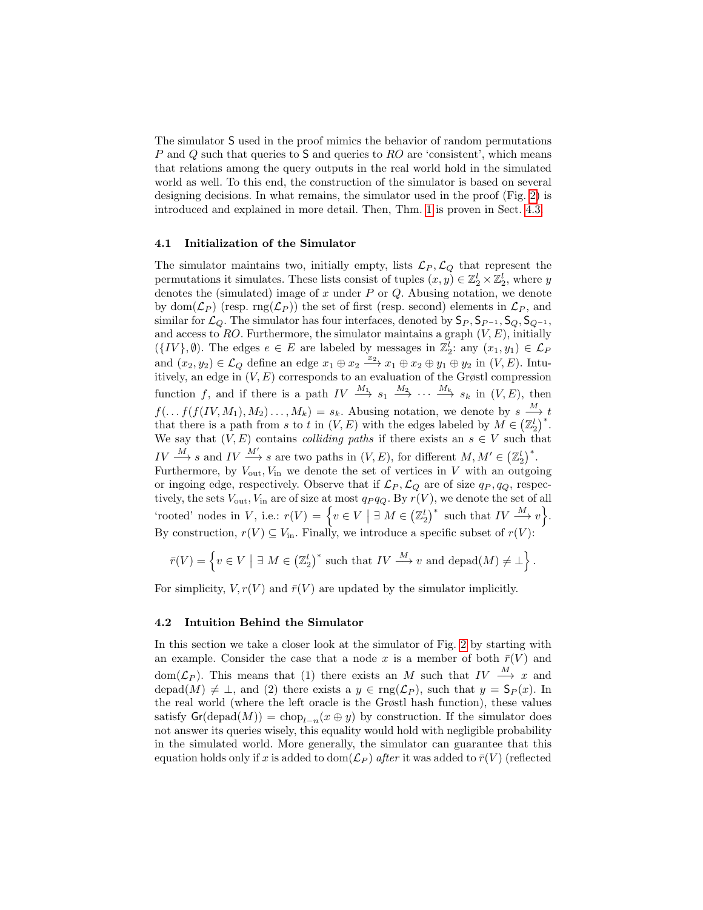The simulator S used in the proof mimics the behavior of random permutations P and Q such that queries to S and queries to  $RO$  are 'consistent', which means that relations among the query outputs in the real world hold in the simulated world as well. To this end, the construction of the simulator is based on several designing decisions. In what remains, the simulator used in the proof (Fig. [2\)](#page-9-0) is introduced and explained in more detail. Then, Thm. [1](#page-5-0) is proven in Sect. [4.3.](#page-8-0)

### <span id="page-6-0"></span>4.1 Initialization of the Simulator

The simulator maintains two, initially empty, lists  $\mathcal{L}_P, \mathcal{L}_Q$  that represent the permutations it simulates. These lists consist of tuples  $(x, y) \in \mathbb{Z}_2^l \times \mathbb{Z}_2^l$ , where y denotes the (simulated) image of x under  $P$  or  $Q$ . Abusing notation, we denote by dom $(\mathcal{L}_P)$  (resp. rng $(\mathcal{L}_P)$ ) the set of first (resp. second) elements in  $\mathcal{L}_P$ , and similar for  $\mathcal{L}_Q$ . The simulator has four interfaces, denoted by  $\mathsf{S}_P, \mathsf{S}_{P^{-1}}, \mathsf{S}_Q, \mathsf{S}_{Q^{-1}},$ and access to  $RO$ . Furthermore, the simulator maintains a graph  $(V, E)$ , initially  $({IV}, \emptyset)$ . The edges  $e \in E$  are labeled by messages in  $\mathbb{Z}_2^l$ : any  $(x_1, y_1) \in \mathcal{L}_P$ and  $(x_2, y_2) \in \mathcal{L}_Q$  define an edge  $x_1 \oplus x_2 \xrightarrow{x_2} x_1 \oplus x_2 \oplus y_1 \oplus y_2$  in  $(V, E)$ . Intuitively, an edge in  $(V, E)$  corresponds to an evaluation of the Grøstl compression function f, and if there is a path  $IV \stackrel{M_1}{\longrightarrow} s_1 \stackrel{M_2}{\longrightarrow} \cdots \stackrel{M_k}{\longrightarrow} s_k$  in  $(V, E)$ , then  $f(\ldots f(f(IV, M_1), M_2), \ldots, M_k) = s_k$ . Abusing notation, we denote by  $s \stackrel{M}{\longrightarrow} t$ that there is a path from s to t in  $(V, E)$  with the edges labeled by  $M \in (\mathbb{Z}_2^l)^*$ . We say that  $(V, E)$  contains *colliding paths* if there exists an  $s \in V$  such that IV  $\xrightarrow{M}$  s and IV  $\xrightarrow{M'}$  s are two paths in  $(V, E)$ , for different  $M, M' \in (\mathbb{Z}_2^l)^*$ . Furthermore, by  $V_{\text{out}}$ ,  $V_{\text{in}}$  we denote the set of vertices in V with an outgoing or ingoing edge, respectively. Observe that if  $\mathcal{L}_P, \mathcal{L}_Q$  are of size  $q_P, q_Q$ , respectively, the sets  $V_{\text{out}}$ ,  $V_{\text{in}}$  are of size at most  $q_P q_Q$ . By  $r(V)$ , we denote the set of all 'rooted' nodes in V, i.e.:  $r(V) = \left\{ v \in V \mid \exists M \in (\mathbb{Z}_2^l)^* \text{ such that } IV \stackrel{M}{\longrightarrow} v \right\}.$ By construction,  $r(V) \subseteq V_{\text{in}}$ . Finally, we introduce a specific subset of  $r(V)$ :

$$
\bar{r}(V) = \left\{ v \in V \mid \exists M \in (\mathbb{Z}_2^l)^* \text{ such that } IV \xrightarrow{M} v \text{ and } \text{depend}(M) \neq \bot \right\}.
$$

For simplicity,  $V, r(V)$  and  $\bar{r}(V)$  are updated by the simulator implicitly.

### 4.2 Intuition Behind the Simulator

In this section we take a closer look at the simulator of Fig. [2](#page-9-0) by starting with an example. Consider the case that a node x is a member of both  $\bar{r}(V)$  and dom $(\mathcal{L}_P)$ . This means that (1) there exists an M such that  $IV \stackrel{M}{\longrightarrow} x$  and depad $(M) \neq \perp$ , and (2) there exists a  $y \in \text{rng}(\mathcal{L}_P)$ , such that  $y = \mathsf{S}_P(x)$ . In the real world (where the left oracle is the Grøstl hash function), these values satisfy  $Gr(\text{depend}(M)) = \text{chop}_{l-n}(x \oplus y)$  by construction. If the simulator does not answer its queries wisely, this equality would hold with negligible probability in the simulated world. More generally, the simulator can guarantee that this equation holds only if x is added to dom $(\mathcal{L}_P)$  after it was added to  $\bar{r}(V)$  (reflected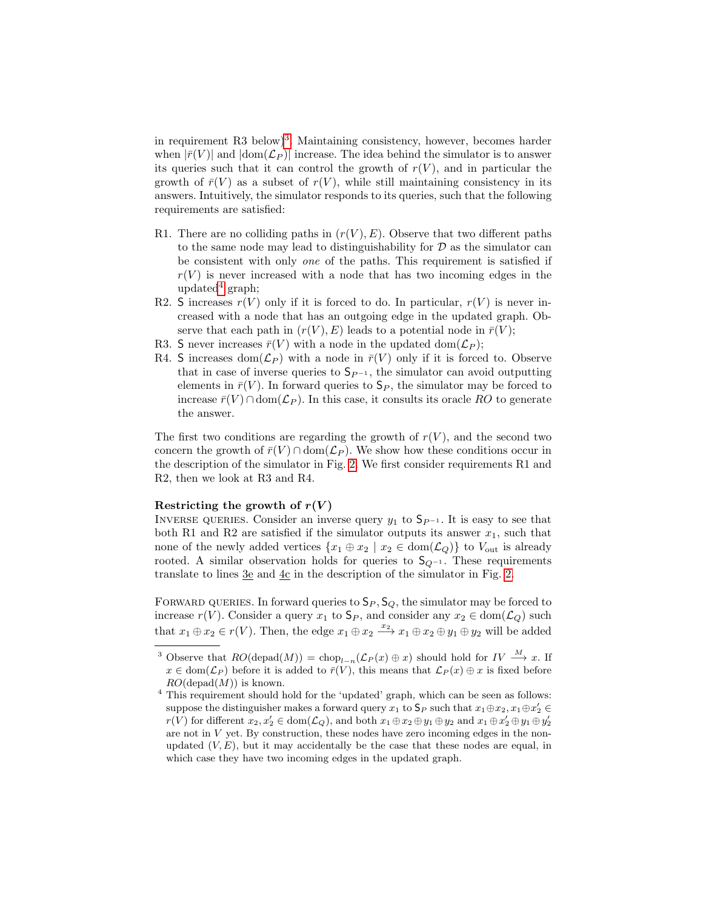in requirement R[3](#page-7-0) below)<sup>3</sup>. Maintaining consistency, however, becomes harder when  $|\bar{r}(V)|$  and  $|\text{dom}(\mathcal{L}_P)|$  increase. The idea behind the simulator is to answer its queries such that it can control the growth of  $r(V)$ , and in particular the growth of  $\bar{r}(V)$  as a subset of  $r(V)$ , while still maintaining consistency in its answers. Intuitively, the simulator responds to its queries, such that the following requirements are satisfied:

- R1. There are no colliding paths in  $(r(V), E)$ . Observe that two different paths to the same node may lead to distinguishability for  $D$  as the simulator can be consistent with only *one* of the paths. This requirement is satisfied if  $r(V)$  is never increased with a node that has two incoming edges in the updated<sup>[4](#page-7-1)</sup> graph;
- R2. S increases  $r(V)$  only if it is forced to do. In particular,  $r(V)$  is never increased with a node that has an outgoing edge in the updated graph. Observe that each path in  $(r(V), E)$  leads to a potential node in  $\bar{r}(V)$ ;
- R3. S never increases  $\bar{r}(V)$  with a node in the updated dom $(\mathcal{L}_P)$ ;
- R4. S increases dom $(\mathcal{L}_P)$  with a node in  $\bar{r}(V)$  only if it is forced to. Observe that in case of inverse queries to  $S_{p-1}$ , the simulator can avoid outputting elements in  $\bar{r}(V)$ . In forward queries to  $\mathsf{S}_P$ , the simulator may be forced to increase  $\bar{r}(V) \cap \text{dom}(\mathcal{L}_P)$ . In this case, it consults its oracle RO to generate the answer.

The first two conditions are regarding the growth of  $r(V)$ , and the second two concern the growth of  $\bar{r}(V) \cap \text{dom}(\mathcal{L}_P)$ . We show how these conditions occur in the description of the simulator in Fig. [2.](#page-9-0) We first consider requirements R1 and R2, then we look at R3 and R4.

### Restricting the growth of  $r(V)$

INVERSE QUERIES. Consider an inverse query  $y_1$  to  $S_{P^{-1}}$ . It is easy to see that both R1 and R2 are satisfied if the simulator outputs its answer  $x_1$ , such that none of the newly added vertices  $\{x_1 \oplus x_2 \mid x_2 \in \text{dom}(\mathcal{L}_Q)\}\)$  to  $V_{\text{out}}$  is already rooted. A similar observation holds for queries to  $S_{Q^{-1}}$ . These requirements translate to lines  $\underline{3e}$  and  $\underline{4c}$  in the description of the simulator in Fig. [2.](#page-9-0)

FORWARD QUERIES. In forward queries to  $S_P$ ,  $S_Q$ , the simulator may be forced to increase  $r(V)$ . Consider a query  $x_1$  to  $\mathsf{S}_P$ , and consider any  $x_2 \in \text{dom}(\mathcal{L}_Q)$  such that  $x_1 \oplus x_2 \in r(V)$ . Then, the edge  $x_1 \oplus x_2 \xrightarrow{x_2} x_1 \oplus x_2 \oplus y_1 \oplus y_2$  will be added

<span id="page-7-0"></span><sup>&</sup>lt;sup>3</sup> Observe that  $RO(\text{depend}(M)) = \text{chop}_{l-n}(\mathcal{L}_P(x) \oplus x)$  should hold for  $IV \stackrel{M}{\longrightarrow} x$ . If  $x \in \text{dom}(\mathcal{L}_P)$  before it is added to  $\bar{r}(V)$ , this means that  $\mathcal{L}_P(x) \oplus x$  is fixed before  $RO(\text{depend}(M))$  is known.

<span id="page-7-1"></span> $^4$  This requirement should hold for the 'updated' graph, which can be seen as follows: suppose the distinguisher makes a forward query  $x_1$  to  $\mathsf{S}_P$  such that  $x_1 \oplus x_2, x_1 \oplus x_2' \in \mathsf{S}_P$  $r(V)$  for different  $x_2, x_2' \in \text{dom}(\mathcal{L}_Q)$ , and both  $x_1 \oplus x_2 \oplus y_1 \oplus y_2$  and  $x_1 \oplus x_2' \oplus y_1 \oplus y_2'$ are not in V yet. By construction, these nodes have zero incoming edges in the nonupdated  $(V, E)$ , but it may accidentally be the case that these nodes are equal, in which case they have two incoming edges in the updated graph.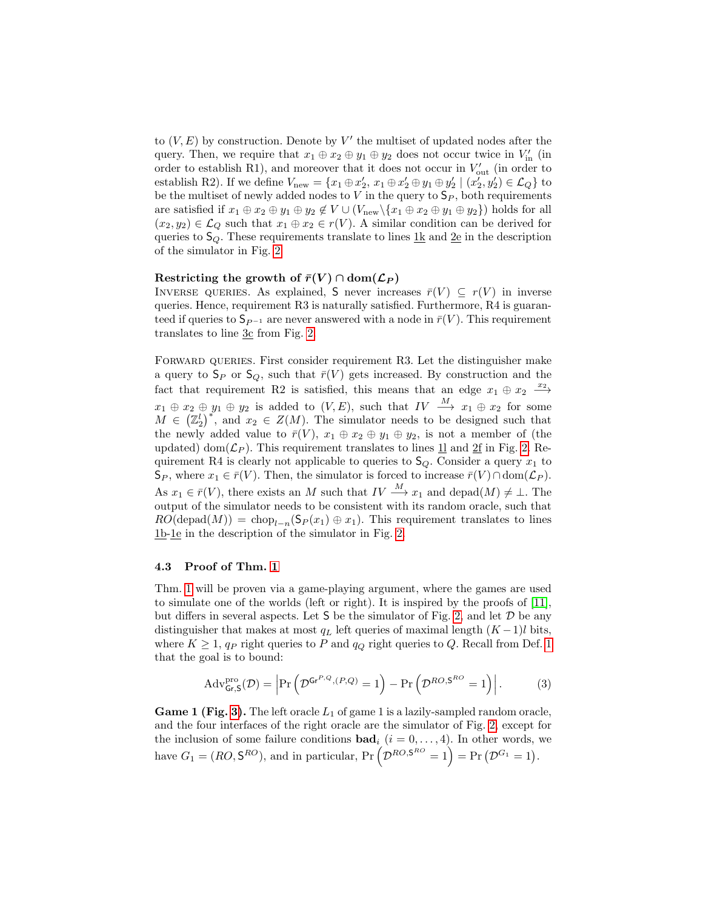to  $(V, E)$  by construction. Denote by V' the multiset of updated nodes after the query. Then, we require that  $x_1 \oplus x_2 \oplus y_1 \oplus y_2$  does not occur twice in  $V'_{\text{in}}$  (in order to establish R1), and moreover that it does not occur in  $V'_{\text{out}}$  (in order to establish R2). If we define  $V_{\text{new}} = \{x_1 \oplus x_2', x_1 \oplus x_2' \oplus y_1 \oplus y_2' \mid (x_2', y_2') \in \mathcal{L}_Q\}$  to be the multiset of newly added nodes to  $V$  in the query to  $\mathsf{S}_P$ , both requirements are satisfied if  $x_1 \oplus x_2 \oplus y_1 \oplus y_2 \notin V \cup (V_{\text{new}} \setminus \{x_1 \oplus x_2 \oplus y_1 \oplus y_2\})$  holds for all  $(x_2, y_2) \in \mathcal{L}_Q$  such that  $x_1 \oplus x_2 \in r(V)$ . A similar condition can be derived for queries to  $\mathsf{S}_{Q}$ . These requirements translate to lines  $\underline{1}\underline{k}$  and  $\underline{2}\underline{e}$  in the description of the simulator in Fig. [2.](#page-9-0)

### Restricting the growth of  $\bar{r}(V) \cap \text{dom}(\mathcal{L}_P)$

INVERSE QUERIES. As explained, S never increases  $\bar{r}(V) \subseteq r(V)$  in inverse queries. Hence, requirement R3 is naturally satisfied. Furthermore, R4 is guaranteed if queries to  $S_{p-1}$  are never answered with a node in  $\bar{r}(V)$ . This requirement translates to line  $3c$  from Fig. [2.](#page-9-0)

FORWARD QUERIES. First consider requirement R3. Let the distinguisher make a query to  $\mathsf{S}_P$  or  $\mathsf{S}_Q$ , such that  $\bar{r}(V)$  gets increased. By construction and the fact that requirement R2 is satisfied, this means that an edge  $x_1 \oplus x_2 \xrightarrow{x_2}$  $x_1 \oplus x_2 \oplus y_1 \oplus y_2$  is added to  $(V, E)$ , such that  $IV \stackrel{M}{\longrightarrow} x_1 \oplus x_2$  for some  $M \in (\mathbb{Z}_2^l)^*$ , and  $x_2 \in Z(M)$ . The simulator needs to be designed such that the newly added value to  $\bar{r}(V)$ ,  $x_1 \oplus x_2 \oplus y_1 \oplus y_2$ , is not a member of (the updated) dom $(\mathcal{L}_P)$ . This requirement translates to lines  $\underline{11}$  and  $\underline{2f}$  in Fig. [2.](#page-9-0) Requirement R4 is clearly not applicable to queries to  $\mathsf{S}_Q$ . Consider a query  $x_1$  to S<sub>P</sub>, where  $x_1 \in \overline{r}(V)$ . Then, the simulator is forced to increase  $\overline{r}(V) \cap \text{dom}(\mathcal{L}_P)$ . As  $x_1 \in \overline{r}(V)$ , there exists an M such that  $IV \stackrel{M}{\longrightarrow} x_1$  and  $\text{depend}(M) \neq \bot$ . The output of the simulator needs to be consistent with its random oracle, such that  $RO(\text{depend}(M)) = \text{chop}_{l-n}(S_P(x_1) \oplus x_1)$ . This requirement translates to lines 1b-1e in the description of the simulator in Fig. [2.](#page-9-0)

### <span id="page-8-0"></span>4.3 Proof of Thm. [1](#page-5-0)

Thm. [1](#page-5-0) will be proven via a game-playing argument, where the games are used to simulate one of the worlds (left or right). It is inspired by the proofs of [\[11\]](#page-15-2), but differs in several aspects. Let S be the simulator of Fig. [2,](#page-9-0) and let  $D$  be any distinguisher that makes at most  $q_L$  left queries of maximal length  $(K-1)l$  bits, where  $K \geq 1$  $K \geq 1$ ,  $q_P$  right queries to P and  $q_Q$  right queries to Q. Recall from Def. 1 that the goal is to bound:

<span id="page-8-1"></span>
$$
Adv_{\mathsf{Gr},\mathsf{S}}^{\text{pro}}(\mathcal{D}) = \left| \Pr \left( \mathcal{D}^{\mathsf{Gr}^{P,Q},(P,Q)} = 1 \right) - \Pr \left( \mathcal{D}^{RO,\mathsf{S}^{RO}} = 1 \right) \right|.
$$
 (3)

**Game 1 (Fig. [3\)](#page-14-8).** The left oracle  $L_1$  of game 1 is a lazily-sampled random oracle, and the four interfaces of the right oracle are the simulator of Fig. [2,](#page-9-0) except for the inclusion of some failure conditions  $\mathbf{bad}_i$   $(i = 0, \ldots, 4)$ . In other words, we have  $G_1 = (RO, S^{RO})$ , and in particular,  $Pr(\mathcal{D}^{RO, S^{RO}} = 1) = Pr(\mathcal{D}^{G_1} = 1)$ .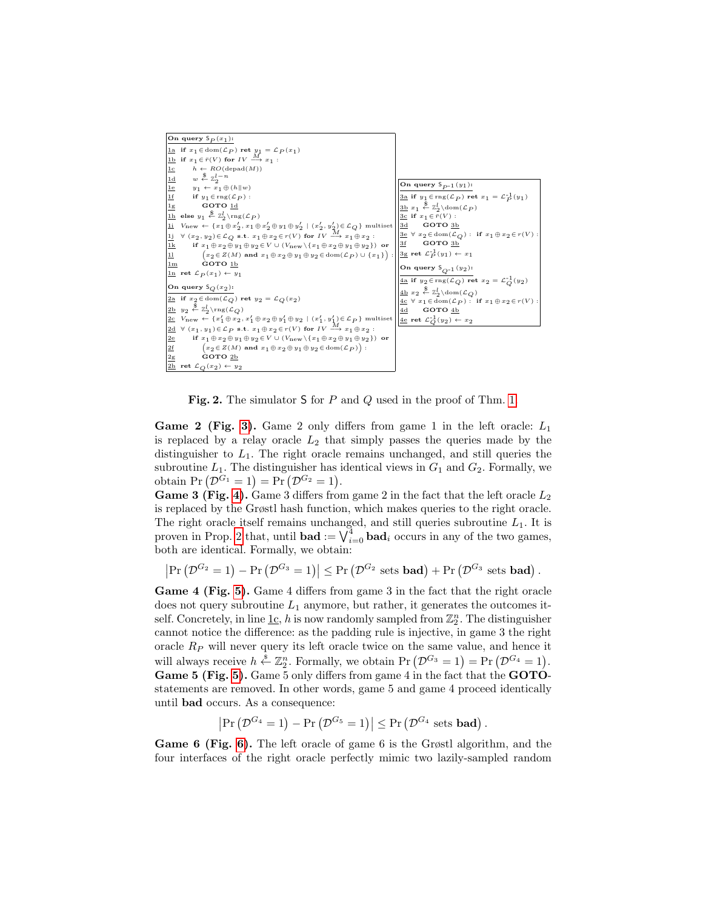

<span id="page-9-0"></span>Fig. 2. The simulator S for P and Q used in the proof of Thm. [1.](#page-5-0)

**Game 2 (Fig. [3\)](#page-14-8).** Game 2 only differs from game 1 in the left oracle:  $L_1$ is replaced by a relay oracle  $L_2$  that simply passes the queries made by the distinguisher to  $L_1$ . The right oracle remains unchanged, and still queries the subroutine  $L_1$ . The distinguisher has identical views in  $G_1$  and  $G_2$ . Formally, we obtain  $Pr(D^{G_1} = 1) = Pr(D^{G_2} = 1).$ 

**Game 3 (Fig. [4\)](#page-15-6).** Game 3 differs from game 2 in the fact that the left oracle  $L_2$ is replaced by the Grøstl hash function, which makes queries to the right oracle. The right oracle itself remains unchanged, and still queries subroutine  $L_1$ . It is proven in Prop. [2](#page-11-0) that, until **bad** :=  $\bigvee_{i=0}^{4}$  **bad**<sub>*i*</sub> occurs in any of the two games, both are identical. Formally, we obtain:

$$
\left|\Pr\left(\mathcal{D}^{G_2}=1\right)-\Pr\left(\mathcal{D}^{G_3}=1\right)\right|\leq \Pr\left(\mathcal{D}^{G_2} \text{ sets } \mathbf{bad}\right)+\Pr\left(\mathcal{D}^{G_3} \text{ sets } \mathbf{bad}\right).
$$

Game 4 (Fig. [5\)](#page-16-9). Game 4 differs from game 3 in the fact that the right oracle does not query subroutine  $L_1$  anymore, but rather, it generates the outcomes itself. Concretely, in line <u>1c</u>, h is now randomly sampled from  $\mathbb{Z}_2^n$ . The distinguisher cannot notice the difference: as the padding rule is injective, in game 3 the right oracle  $R_P$  will never query its left oracle twice on the same value, and hence it will always receive  $h \stackrel{\$}{\leftarrow} \mathbb{Z}_2^n$ . Formally, we obtain  $Pr(D^{G_3} = 1) = Pr(D^{G_4} = 1)$ . Game 5 (Fig. [5\)](#page-16-9). Game 5 only differs from game 4 in the fact that the GOTOstatements are removed. In other words, game 5 and game 4 proceed identically until bad occurs. As a consequence:

$$
\left|\Pr\left(\mathcal{D}^{G_4}=1\right)-\Pr\left(\mathcal{D}^{G_5}=1\right)\right|\leq \Pr\left(\mathcal{D}^{G_4} \text{ sets } \mathbf{bad}\right).
$$

Game 6 (Fig. [6\)](#page-17-0). The left oracle of game 6 is the Grøstl algorithm, and the four interfaces of the right oracle perfectly mimic two lazily-sampled random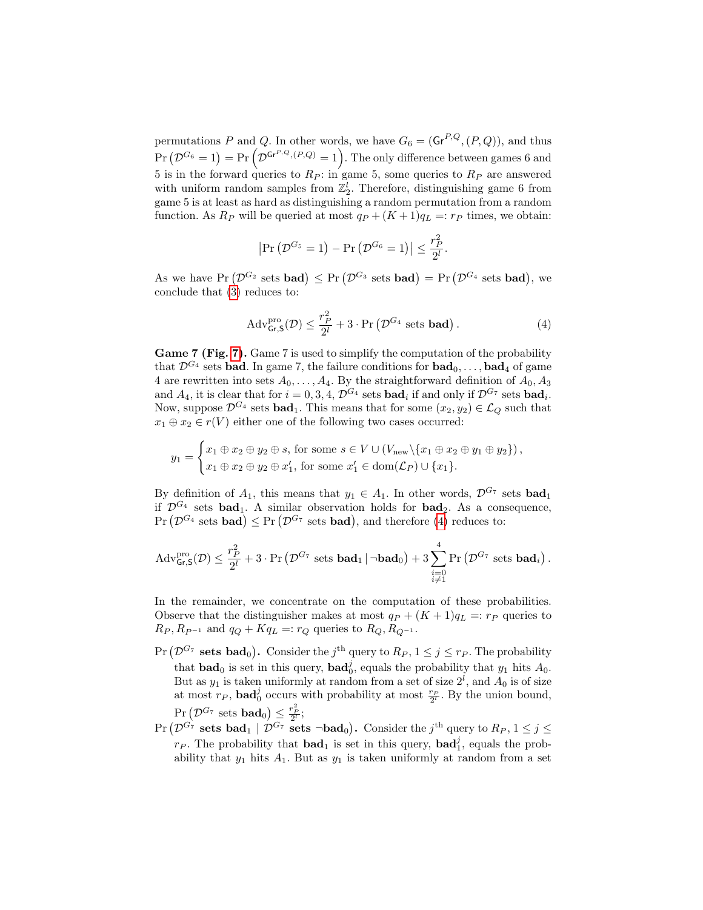permutations P and Q. In other words, we have  $G_6 = (Gr^{P,Q}, (P, Q))$ , and thus  $\Pr(\mathcal{D}^{G_6} = 1) = \Pr(\mathcal{D}^{Gr^{P,Q},(P,Q)} = 1)$ . The only difference between games 6 and 5 is in the forward queries to  $R_P$ : in game 5, some queries to  $R_P$  are answered with uniform random samples from  $\mathbb{Z}_2^l$ . Therefore, distinguishing game 6 from game 5 is at least as hard as distinguishing a random permutation from a random function. As  $R_P$  will be queried at most  $q_P + (K+1)q_L =: r_P$  times, we obtain:

<span id="page-10-0"></span>
$$
\left|\Pr\left(\mathcal{D}^{G_5} = 1\right) - \Pr\left(\mathcal{D}^{G_6} = 1\right)\right| \le \frac{r_P^2}{2^l}.
$$

As we have Pr  $(\mathcal{D}^{G_2} \text{ sets } \text{bad}) \leq \Pr(\mathcal{D}^{G_3} \text{ sets } \text{bad}) = \Pr(\mathcal{D}^{G_4} \text{ sets } \text{bad}),$  we conclude that  $(3)$  reduces to:

$$
Adv_{\mathsf{Gr},\mathsf{S}}^{\text{pro}}(\mathcal{D}) \le \frac{r_P^2}{2^l} + 3 \cdot \Pr\left(\mathcal{D}^{G_4} \text{ sets } \mathbf{bad}\right). \tag{4}
$$

Game 7 (Fig. [7\)](#page-17-1). Game 7 is used to simplify the computation of the probability that  $\mathcal{D}^{G_4}$  sets bad. In game 7, the failure conditions for bad<sub>0</sub>,..., bad<sub>4</sub> of game 4 are rewritten into sets  $A_0, \ldots, A_4$ . By the straightforward definition of  $A_0, A_3$ and  $A_4$ , it is clear that for  $i = 0, 3, 4, \mathcal{D}^{G_4}$  sets **bad**<sub>i</sub> if and only if  $\mathcal{D}^{G_7}$  sets **bad**<sub>i</sub>. Now, suppose  $\mathcal{D}^{G_4}$  sets **bad**<sub>1</sub>. This means that for some  $(x_2, y_2) \in \mathcal{L}_Q$  such that  $x_1 \oplus x_2 \in r(V)$  either one of the following two cases occurred:

$$
y_1 = \begin{cases} x_1 \oplus x_2 \oplus y_2 \oplus s, \text{ for some } s \in V \cup (V_{\text{new}} \setminus \{x_1 \oplus x_2 \oplus y_1 \oplus y_2\}), \\ x_1 \oplus x_2 \oplus y_2 \oplus x_1', \text{ for some } x_1' \in \text{dom}(\mathcal{L}_P) \cup \{x_1\}. \end{cases}
$$

By definition of  $A_1$ , this means that  $y_1 \in A_1$ . In other words,  $\mathcal{D}^{G_7}$  sets **bad**<sub>1</sub> if  $\mathcal{D}^{G_4}$  sets bad<sub>1</sub>. A similar observation holds for bad<sub>2</sub>. As a consequence,  $Pr(D^{G_4} \text{ sets } \text{bad}) \leq Pr(D^{G_7} \text{ sets } \text{bad}),$  and therefore [\(4\)](#page-10-0) reduces to:

$$
\mathrm{Adv}_{\mathsf{Gr},\mathsf{S}}^{\mathrm{pro}}(\mathcal{D}) \le \frac{r_P^2}{2^l} + 3 \cdot \Pr\left(\mathcal{D}^{G_7} \text{ sets } \mathbf{bad}_1 | \neg \mathbf{bad}_0\right) + 3 \sum_{\substack{i=0 \\ i \neq 1}}^4 \Pr\left(\mathcal{D}^{G_7} \text{ sets } \mathbf{bad}_i\right).
$$

In the remainder, we concentrate on the computation of these probabilities. Observe that the distinguisher makes at most  $q_P + (K + 1)q_L =: r_P$  queries to  $R_P, R_{P^{-1}}$  and  $q_Q + Kq_L =: r_Q$  queries to  $R_Q, R_{Q^{-1}}$ .

- $Pr(\mathcal{D}^{G_7} \text{ sets } \text{bad}_0)$ . Consider the  $j^{\text{th}}$  query to  $R_P$ ,  $1 \leq j \leq r_P$ . The probability that **bad**<sub>0</sub> is set in this query, **bad**<sub>0</sub><sup>*j*</sup>, equals the probability that  $y_1$  hits  $A_0$ . But as  $y_1$  is taken uniformly at random from a set of size  $2^l$ , and  $A_0$  is of size at most  $r_P$ , **bad**<sup>*j*</sup> occurs with probability at most  $\frac{r_P}{2^l}$ . By the union bound,  $\Pr\left(\mathcal{D}^{G_7} \text{ sets } \text{bad}_0\right) \leq \frac{r_P^2}{2^l};$
- $\Pr\big(\mathcal{D}^{G_7} \text{ sets } \text{bad}_1 \mid \mathcal{D}^{G_7} \text{ sets } \neg \text{bad}_0\big). \text{ Consider the } j^{\text{th}} \text{ query to } R_P, 1 \leq j \leq 1.$  $r_P$ . The probability that  $\mathbf{bad}_1$  is set in this query,  $\mathbf{bad}_1^j$ , equals the probability that  $y_1$  hits  $A_1$ . But as  $y_1$  is taken uniformly at random from a set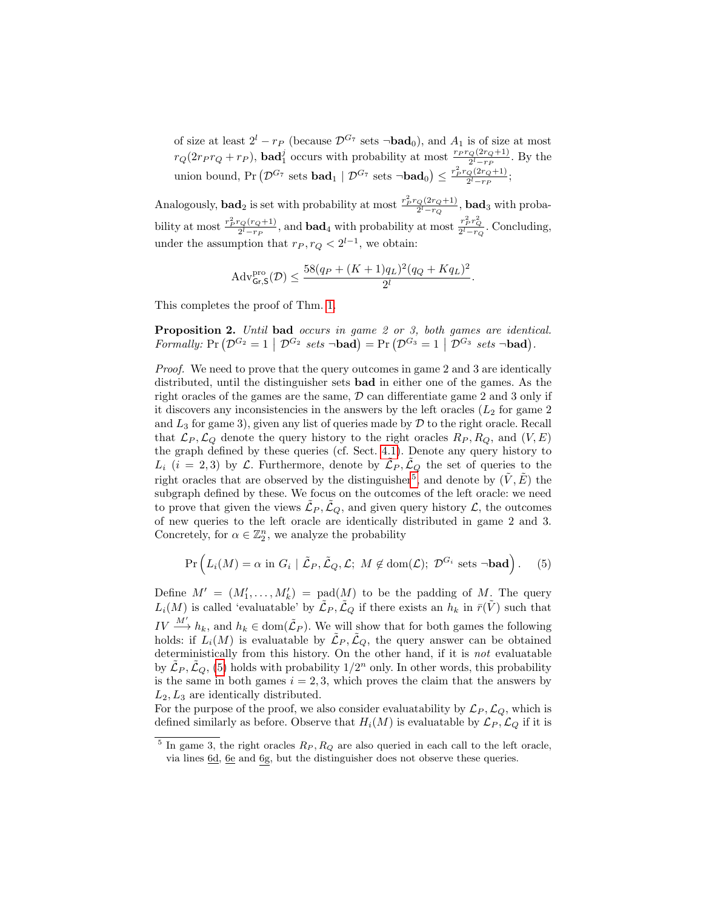of size at least  $2^l - r_P$  (because  $\mathcal{D}^{G_7}$  sets  $\neg \mathbf{bad}_0$ ), and  $A_1$  is of size at most  $r_Q(2r_P r_Q + r_P)$ , **bad**<sup>j</sup> occurs with probability at most  $\frac{r_P r_Q(2r_Q+1)}{2^l-r_P}$ . By the union bound, Pr  $(\mathcal{D}^{G_7} \text{ sets } \text{bad}_1 \mid \mathcal{D}^{G_7} \text{ sets } \neg \text{bad}_0) \leq \frac{r_P^2 r_Q(2r_Q+1)}{2^l-r_P};$ 

Analogously, **bad**<sub>2</sub> is set with probability at most  $\frac{r_{P}^{2}r_{Q}(2r_{Q}+1)}{2^{l}-r_{Q}}$ , **bad**<sub>3</sub> with probability at most  $\frac{r_P^2 r_Q (r_Q+1)}{2^l-r_P}$ , and **bad**<sub>4</sub> with probability at most  $\frac{r_P^2 r_Q^2}{2^l-r_Q}$ . Concluding, under the assumption that  $r_P, r_Q < 2^{l-1}$ , we obtain:

$$
Adv_{\mathsf{Gr},\mathsf{S}}^{\text{pro}}(\mathcal{D}) \le \frac{58(q_P + (K+1)q_L)^2(q_Q + Kq_L)^2}{2^l}.
$$

<span id="page-11-0"></span>This completes the proof of Thm. [1.](#page-5-0)

Proposition 2. Until bad occurs in game 2 or 3, both games are identical. Formally:  $Pr\left(\mathcal{D}^{G_2} = 1 \middle| \mathcal{D}^{G_2} \text{ sets } \neg \textbf{bad}\right) = Pr\left(\mathcal{D}^{G_3} = 1 \middle| \mathcal{D}^{G_3} \text{ sets } \neg \textbf{bad}\right).$ 

Proof. We need to prove that the query outcomes in game 2 and 3 are identically distributed, until the distinguisher sets bad in either one of the games. As the right oracles of the games are the same,  $D$  can differentiate game 2 and 3 only if it discovers any inconsistencies in the answers by the left oracles  $(L_2$  for game 2 and  $L_3$  for game 3), given any list of queries made by  $D$  to the right oracle. Recall that  $\mathcal{L}_P, \mathcal{L}_Q$  denote the query history to the right oracles  $R_P, R_Q$ , and  $(V, E)$ the graph defined by these queries (cf. Sect. [4.1\)](#page-6-0). Denote any query history to  $L_i$  ( $i = 2, 3$ ) by  $\mathcal{L}$ . Furthermore, denote by  $\tilde{\mathcal{L}}_P, \tilde{\mathcal{L}}_Q$  the set of queries to the right oracles that are observed by the distinguisher<sup>[5](#page-11-1)</sup>, and denote by  $(\tilde{V}, \tilde{E})$  the subgraph defined by these. We focus on the outcomes of the left oracle: we need to prove that given the views  $\tilde{\mathcal{L}}_P, \tilde{\mathcal{L}}_Q$ , and given query history  $\mathcal{L}$ , the outcomes of new queries to the left oracle are identically distributed in game 2 and 3. Concretely, for  $\alpha \in \mathbb{Z}_2^n$ , we analyze the probability

<span id="page-11-2"></span>
$$
\Pr\left(L_i(M) = \alpha \text{ in } G_i \mid \tilde{\mathcal{L}}_P, \tilde{\mathcal{L}}_Q, \mathcal{L}; \ M \notin \text{dom}(\mathcal{L}); \ \mathcal{D}^{G_i} \text{ sets } \neg \text{bad}\right).
$$
 (5)

Define  $M' = (M'_1, \ldots, M'_k) = \text{pad}(M)$  to be the padding of M. The query  $L_i(M)$  is called 'evaluatable' by  $\tilde{\mathcal{L}}_P, \tilde{\mathcal{L}}_Q$  if there exists an  $h_k$  in  $\bar{r}(\tilde{V})$  such that  $IV \stackrel{M'}{\longrightarrow} h_k$ , and  $h_k \in \text{dom}(\tilde{\mathcal{L}}_P)$ . We will show that for both games the following holds: if  $L_i(M)$  is evaluatable by  $\tilde{\mathcal{L}}_P, \tilde{\mathcal{L}}_Q$ , the query answer can be obtained deterministically from this history. On the other hand, if it is *not* evaluatable by  $\tilde{\mathcal{L}}_P, \tilde{\mathcal{L}}_Q,$  [\(5\)](#page-11-2) holds with probability  $1/2^n$  only. In other words, this probability is the same in both games  $i = 2, 3$ , which proves the claim that the answers by  $L_2, L_3$  are identically distributed.

For the purpose of the proof, we also consider evaluatability by  $\mathcal{L}_P, \mathcal{L}_Q$ , which is defined similarly as before. Observe that  $H_i(M)$  is evaluatable by  $\mathcal{L}_P$ ,  $\mathcal{L}_Q$  if it is

<span id="page-11-1"></span><sup>&</sup>lt;sup>5</sup> In game 3, the right oracles  $R_P$ ,  $R_Q$  are also queried in each call to the left oracle, via lines 6d, 6e and 6g, but the distinguisher does not observe these queries.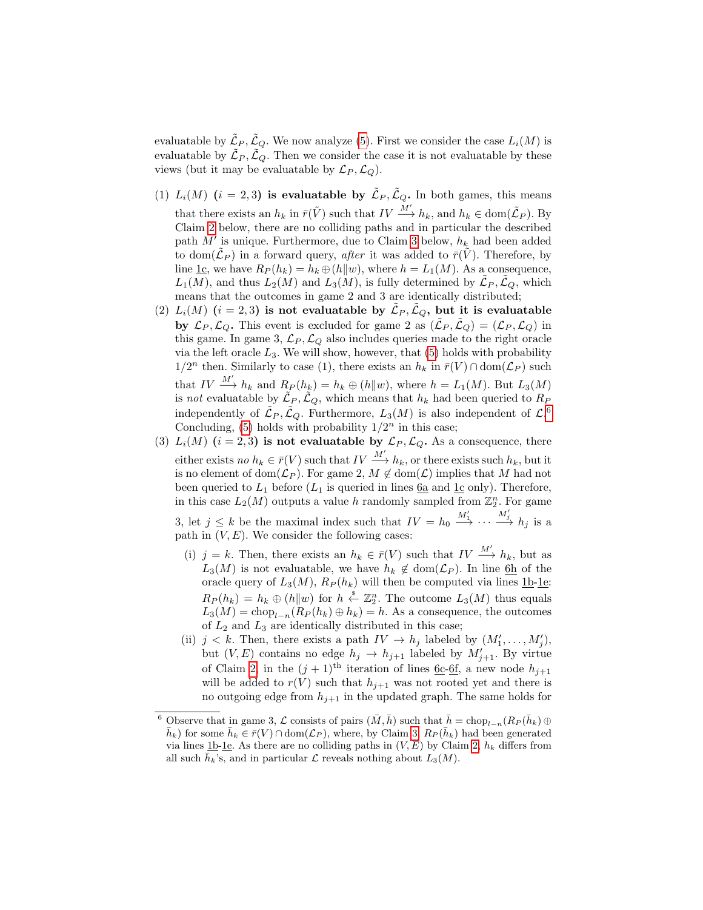evaluatable by  $\tilde{\mathcal{L}}_P$ ,  $\tilde{\mathcal{L}}_Q$ . We now analyze [\(5\)](#page-11-2). First we consider the case  $L_i(M)$  is evaluatable by  $\tilde{\mathcal{L}}_P, \tilde{\mathcal{L}}_Q$ . Then we consider the case it is not evaluatable by these views (but it may be evaluatable by  $\mathcal{L}_P, \mathcal{L}_Q$ ).

- (1)  $L_i(M)$  (i = 2,3) is evaluatable by  $\tilde{\mathcal{L}}_P, \tilde{\mathcal{L}}_Q$ . In both games, this means that there exists an  $h_k$  in  $\bar{r}(\tilde{V})$  such that  $IV \stackrel{M'}{\longrightarrow} h_k$ , and  $h_k \in \text{dom}(\tilde{L}_P)$ . By Claim [2](#page-13-0) below, there are no colliding paths and in particular the described path  $M'$  is unique. Furthermore, due to Claim [3](#page-13-1) below,  $h_k$  had been added to dom $(\tilde{\mathcal{L}}_P)$  in a forward query, *after* it was added to  $\bar{r}(\tilde{V})$ . Therefore, by line <u>1c</u>, we have  $R_P(h_k) = h_k \oplus (h||w)$ , where  $h = L_1(M)$ . As a consequence,  $L_1(M)$ , and thus  $L_2(M)$  and  $L_3(M)$ , is fully determined by  $\tilde{\mathcal{L}}_P, \tilde{\mathcal{L}}_Q$ , which means that the outcomes in game 2 and 3 are identically distributed;
- (2)  $L_i(M)$  ( $i = 2,3$ ) is not evaluatable by  $\tilde{L}_P$ ,  $\tilde{L}_Q$ , but it is evaluatable by  $\mathcal{L}_P, \mathcal{L}_Q$ . This event is excluded for game 2 as  $(\tilde{\mathcal{L}}_P, \tilde{\mathcal{L}}_Q) = (\mathcal{L}_P, \mathcal{L}_Q)$  in this game. In game 3,  $\mathcal{L}_P$ ,  $\mathcal{L}_Q$  also includes queries made to the right oracle via the left oracle  $L_3$ . We will show, however, that  $(5)$  holds with probability  $1/2^n$  then. Similarly to case (1), there exists an  $h_k$  in  $\bar{r}(V) \cap \text{dom}(\mathcal{L}_P)$  such that  $IV \stackrel{M'}{\longrightarrow} h_k$  and  $R_P(h_k) = h_k \oplus (h||w)$ , where  $h = L_1(M)$ . But  $L_3(M)$ is not evaluatable by  $\tilde{\mathcal{L}}_P$ ,  $\tilde{\mathcal{L}}_Q$ , which means that  $h_k$  had been queried to  $R_P$ independently of  $\tilde{\mathcal{L}}_P, \tilde{\mathcal{L}}_Q$ . Furthermore,  $L_3(M)$  is also independent of  $\mathcal{L}.\sub>^6$  $\mathcal{L}.\sub>^6$ Concluding, [\(5\)](#page-11-2) holds with probability  $1/2^n$  in this case;
- (3)  $L_i(M)$  (i = 2,3) is not evaluatable by  $\mathcal{L}_P$ ,  $\mathcal{L}_Q$ . As a consequence, there either exists no  $h_k \in \overline{r}(V)$  such that  $IV \stackrel{M'}{\longrightarrow} h_k$ , or there exists such  $h_k$ , but it is no element of dom $(\mathcal{L}_P)$ . For game 2,  $M \notin \text{dom}(\mathcal{L})$  implies that M had not been queried to  $L_1$  before  $(L_1$  is queried in lines  $\underline{6a}$  and  $\underline{1c}$  only). Therefore, in this case  $L_2(M)$  outputs a value h randomly sampled from  $\mathbb{Z}_2^n$ . For game 3, let  $j \leq k$  be the maximal index such that  $IV = h_0 \stackrel{M'_1}{\longrightarrow} \cdots \stackrel{M'_j}{\longrightarrow} h_j$  is a

path in  $(V, E)$ . We consider the following cases:

- (i)  $j = k$ . Then, there exists an  $h_k \in \overline{r}(V)$  such that  $IV \stackrel{M'}{\longrightarrow} h_k$ , but as  $L_3(M)$  is not evaluatable, we have  $h_k \notin \text{dom}(\mathcal{L}_P)$ . In line 6h of the oracle query of  $L_3(M)$ ,  $R_P(h_k)$  will then be computed via lines 1b-1e:  $R_P(h_k) = h_k \oplus (h||w)$  for  $h \stackrel{s}{\leftarrow} \mathbb{Z}_2^n$ . The outcome  $L_3(M)$  thus equals  $L_3(M) = \text{chop}_{l-n}(R_P(h_k) \oplus h_k) = h$ . As a consequence, the outcomes of  $L_2$  and  $L_3$  are identically distributed in this case;
- (ii)  $j < k$ . Then, there exists a path  $IV \to h_j$  labeled by  $(M'_1, \ldots, M'_j)$ , but  $(V, E)$  contains no edge  $h_j \to h_{j+1}$  labeled by  $M'_{j+1}$ . By virtue of Claim [2,](#page-13-0) in the  $(j + 1)$ <sup>th</sup> iteration of lines <u>6c-6f</u>, a new node  $h_{j+1}$ will be added to  $r(V)$  such that  $h_{i+1}$  was not rooted yet and there is no outgoing edge from  $h_{i+1}$  in the updated graph. The same holds for

<span id="page-12-0"></span><sup>&</sup>lt;sup>6</sup> Observe that in game 3, L consists of pairs  $(\bar{M}, \bar{h})$  such that  $\bar{h} = \text{chop}_{l-n}(R_P(\bar{h}_k) \oplus$  $\bar{h}_k$ ) for some  $\bar{h}_k \in \bar{r}(V) \cap \text{dom}(\mathcal{L}_P)$ , where, by Claim [3,](#page-13-1)  $R_P(\bar{h}_k)$  had been generated via lines  $\underline{1b}$ - $\underline{1e}$ . As there are no colliding paths in  $(V, E)$  by Claim [2,](#page-13-0)  $h_k$  differs from all such  $\bar{h}_k$ 's, and in particular  $\mathcal L$  reveals nothing about  $L_3(M)$ .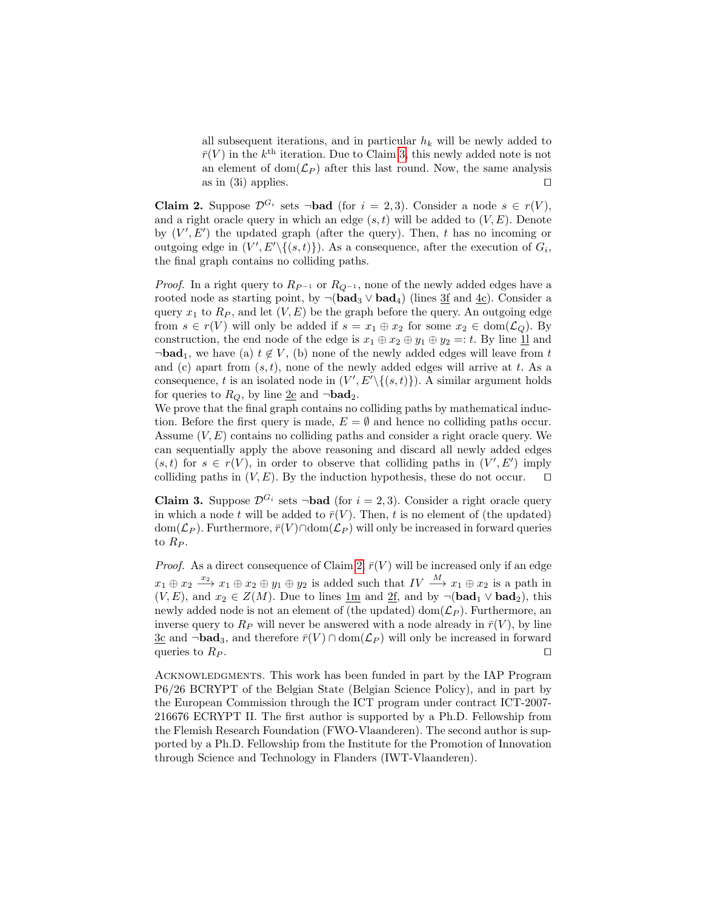all subsequent iterations, and in particular  $h_k$  will be newly added to  $\bar{r}(V)$  in the k<sup>th</sup> iteration. Due to Claim [3,](#page-13-1) this newly added note is not an element of dom $(\mathcal{L}_P)$  after this last round. Now, the same analysis as in (3i) applies.  $\Box$ 

<span id="page-13-0"></span>**Claim 2.** Suppose  $\mathcal{D}^{G_i}$  sets  $\neg$ **bad** (for  $i = 2, 3$ ). Consider a node  $s \in r(V)$ , and a right oracle query in which an edge  $(s, t)$  will be added to  $(V, E)$ . Denote by  $(V', E')$  the updated graph (after the query). Then, t has no incoming or outgoing edge in  $(V', E' \setminus \{(s, t)\})$ . As a consequence, after the execution of  $G_i$ , the final graph contains no colliding paths.

*Proof.* In a right query to  $R_{p-1}$  or  $R_{Q-1}$ , none of the newly added edges have a rooted node as starting point, by  $\neg$ (**bad**<sub>3</sub>  $\vee$  **bad**<sub>4</sub>) (lines <u>3f</u> and <u>4c</u>). Consider a query  $x_1$  to  $R_P$ , and let  $(V, E)$  be the graph before the query. An outgoing edge from  $s \in r(V)$  will only be added if  $s = x_1 \oplus x_2$  for some  $x_2 \in \text{dom}(\mathcal{L}_Q)$ . By construction, the end node of the edge is  $x_1 \oplus x_2 \oplus y_1 \oplus y_2 =: t$ . By line  $\underline{11}$  and  $\neg$ **bad**<sub>1</sub>, we have (a)  $t \notin V$ , (b) none of the newly added edges will leave from t and (c) apart from  $(s, t)$ , none of the newly added edges will arrive at t. As a consequence, t is an isolated node in  $(V', E' \setminus \{(s, t)\})$ . A similar argument holds for queries to  $R_Q$ , by line  $2e$  and  $\neg$ **bad**<sub>2</sub>.

We prove that the final graph contains no colliding paths by mathematical induction. Before the first query is made,  $E = \emptyset$  and hence no colliding paths occur. Assume  $(V, E)$  contains no colliding paths and consider a right oracle query. We can sequentially apply the above reasoning and discard all newly added edges  $(s,t)$  for  $s \in r(V)$ , in order to observe that colliding paths in  $(V', E')$  imply colliding paths in  $(V, E)$ . By the induction hypothesis, these do not occur.  $\Box$ 

<span id="page-13-1"></span>**Claim 3.** Suppose  $\mathcal{D}^{G_i}$  sets  $\neg$ **bad** (for  $i = 2, 3$ ). Consider a right oracle query in which a node t will be added to  $\bar{r}(V)$ . Then, t is no element of (the updated) dom( $\mathcal{L}_P$ ). Furthermore,  $\bar{r}(V) \cap \text{dom}(\mathcal{L}_P)$  will only be increased in forward queries to  $R_P$ .

*Proof.* As a direct consequence of Claim [2,](#page-13-0)  $\bar{r}(V)$  will be increased only if an edge  $x_1 \oplus x_2 \xrightarrow{x_2} x_1 \oplus x_2 \oplus y_1 \oplus y_2$  is added such that  $IV \xrightarrow{M} x_1 \oplus x_2$  is a path in  $(V, E)$ , and  $x_2 \in Z(M)$ . Due to lines 1m and 2f, and by  $\neg(\mathbf{bad}_1 \vee \mathbf{bad}_2)$ , this newly added node is not an element of (the updated) dom $(\mathcal{L}_P)$ . Furthermore, an inverse query to  $R_P$  will never be answered with a node already in  $\bar{r}(V)$ , by line <u>3c</u> and ¬**bad**<sub>3</sub>, and therefore  $\bar{r}(V) \cap \text{dom}(\mathcal{L}_P)$  will only be increased in forward queries to  $R_P$ .

ACKNOWLEDGMENTS. This work has been funded in part by the IAP Program P6/26 BCRYPT of the Belgian State (Belgian Science Policy), and in part by the European Commission through the ICT program under contract ICT-2007- 216676 ECRYPT II. The first author is supported by a Ph.D. Fellowship from the Flemish Research Foundation (FWO-Vlaanderen). The second author is supported by a Ph.D. Fellowship from the Institute for the Promotion of Innovation through Science and Technology in Flanders (IWT-Vlaanderen).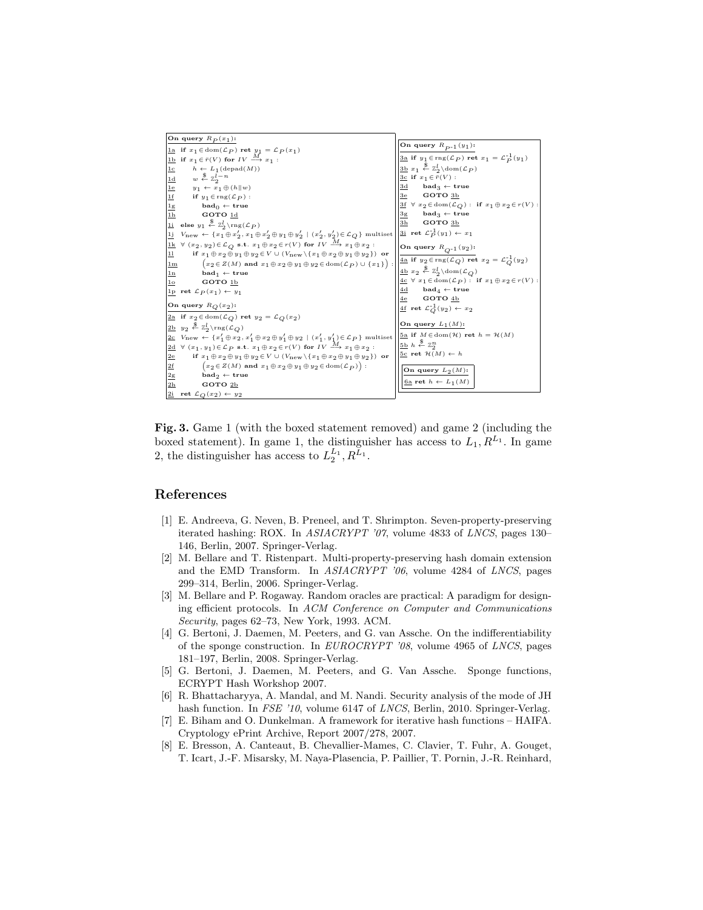

<span id="page-14-8"></span>Fig. 3. Game 1 (with the boxed statement removed) and game 2 (including the boxed statement). In game 1, the distinguisher has access to  $L_1, R^{L_1}$ . In game 2, the distinguisher has access to  $L_2^{L_1}, R^{\tilde{L}_1}$ .

## References

- <span id="page-14-2"></span>[1] E. Andreeva, G. Neven, B. Preneel, and T. Shrimpton. Seven-property-preserving iterated hashing: ROX. In ASIACRYPT '07, volume 4833 of LNCS, pages 130– 146, Berlin, 2007. Springer-Verlag.
- <span id="page-14-3"></span>[2] M. Bellare and T. Ristenpart. Multi-property-preserving hash domain extension and the EMD Transform. In ASIACRYPT '06, volume 4284 of LNCS, pages 299–314, Berlin, 2006. Springer-Verlag.
- <span id="page-14-7"></span>[3] M. Bellare and P. Rogaway. Random oracles are practical: A paradigm for designing efficient protocols. In ACM Conference on Computer and Communications Security, pages 62–73, New York, 1993. ACM.
- <span id="page-14-5"></span>[4] G. Bertoni, J. Daemen, M. Peeters, and G. van Assche. On the indifferentiability of the sponge construction. In EUROCRYPT '08, volume 4965 of LNCS, pages 181–197, Berlin, 2008. Springer-Verlag.
- <span id="page-14-1"></span>[5] G. Bertoni, J. Daemen, M. Peeters, and G. Van Assche. Sponge functions, ECRYPT Hash Workshop 2007.
- <span id="page-14-4"></span>[6] R. Bhattacharyya, A. Mandal, and M. Nandi. Security analysis of the mode of JH hash function. In FSE '10, volume 6147 of LNCS, Berlin, 2010. Springer-Verlag.
- <span id="page-14-0"></span>[7] E. Biham and O. Dunkelman. A framework for iterative hash functions – HAIFA. Cryptology ePrint Archive, Report 2007/278, 2007.
- <span id="page-14-6"></span>[8] E. Bresson, A. Canteaut, B. Chevallier-Mames, C. Clavier, T. Fuhr, A. Gouget, T. Icart, J.-F. Misarsky, M. Naya-Plasencia, P. Paillier, T. Pornin, J.-R. Reinhard,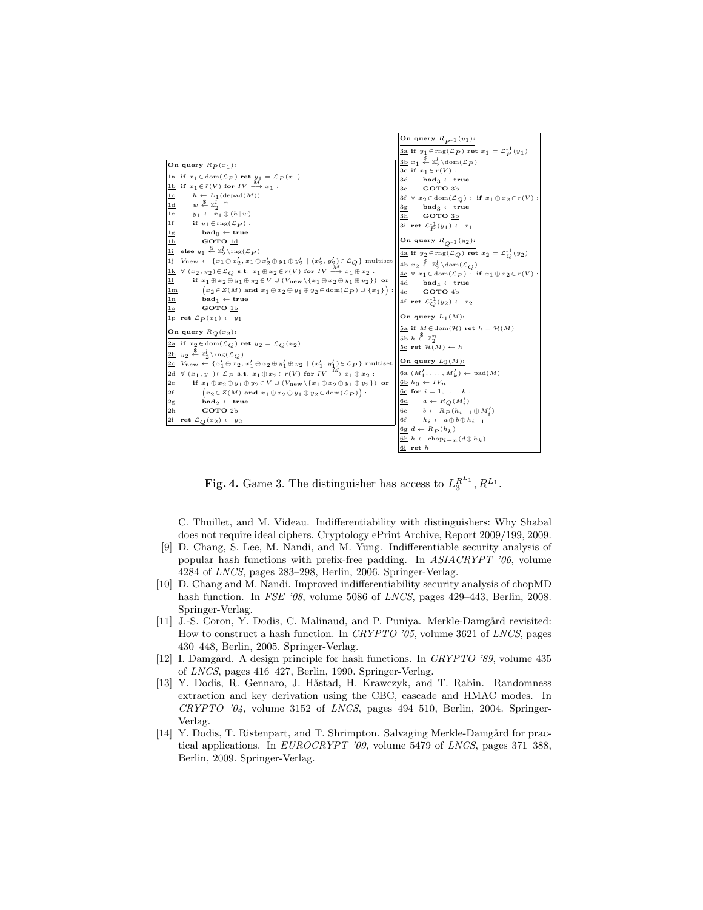|                                                                                                                                                                                                  | On query $R_{p-1}(y_1)$ :                                                                                           |  |
|--------------------------------------------------------------------------------------------------------------------------------------------------------------------------------------------------|---------------------------------------------------------------------------------------------------------------------|--|
|                                                                                                                                                                                                  | <u>3a</u> if $y_1 \in \text{rng}(\mathcal{L}_P)$ ret $x_1 = \mathcal{L}_P^{-1}(y_1)$                                |  |
| On query $R_P(x_1)$ :                                                                                                                                                                            | $\frac{3b}{2}x_1 \stackrel{\$}{\leftarrow} \mathbb{Z}_2^l \setminus \text{dom}(\mathcal{L}_P)$                      |  |
|                                                                                                                                                                                                  | 3c if $x_1 \in \overline{r}(V)$ :                                                                                   |  |
| <u>1a</u> if $x_1 \in \text{dom}(\mathcal{L}_P)$ ret $y_1 = \mathcal{L}_P(x_1)$                                                                                                                  | $\texttt{bad}_3 \leftarrow \texttt{true}$<br>3d                                                                     |  |
| 1b if $x_1 \in \overline{r}(V)$ for $IV \stackrel{M}{\longrightarrow} x_1$ :                                                                                                                     | GOTO <sub>3b</sub><br>3e                                                                                            |  |
| $1\,\mathrm{c}$<br>$h \leftarrow L_1(\text{depend}(M))$                                                                                                                                          | $\underline{3f} \ \ \forall \ \ x_2 \in \mathrm{dom}(\mathcal{L}_O) : \ \ \text{if} \ \ x_1 \oplus x_2 \in r(V) :$  |  |
| $w \stackrel{\$}{\leftarrow} \mathbb{Z}_2^{l-n}$<br>1d                                                                                                                                           | $\texttt{bad}_3 \leftarrow \texttt{true}$<br>$\frac{3g}{2}$                                                         |  |
| 1e<br>$y_1 \leftarrow x_1 \oplus (h \parallel w)$                                                                                                                                                | 3h GOTO 3b                                                                                                          |  |
| 1f<br>if $y_1 \in \text{rng}(\mathcal{L}_P)$ :                                                                                                                                                   | $\underline{3i}$ ret $\mathcal{L}^{-1}_P(y_1) \leftarrow x_1$                                                       |  |
| $1\,\mathrm g$<br>$bad_0 \leftarrow true$                                                                                                                                                        |                                                                                                                     |  |
| 1 <sub>h</sub><br>GOTO 1d                                                                                                                                                                        | On query $R_{Q^{-1}}(y_2)$ :                                                                                        |  |
| $\underline{\mathbf{u}}$ else $y_1 \overset{\$}{\leftarrow} \mathbb{Z}_2^l \setminus \text{rng}(\mathcal{L}_P)$                                                                                  | $\underline{4a}$ if $y_2 \in \text{rng}(\mathcal{L}_Q)$ ret $x_2 = \mathcal{L}_Q^{-1}(y_2)$                         |  |
| $\underline{1j}$ $V_{\text{new}} \leftarrow \{x_1 \oplus x_2', x_1 \oplus x_2' \oplus y_1 \oplus y_2' \mid (x_2', y_2') \in \mathcal{L}_Q \}$ multiset                                           | $\underline{\mathop{\text{4b}}\,} x_2 \stackrel{\$}{\leftarrow} \mathbb{Z}_2^l \setminus \text{dom}(\mathcal{L}_Q)$ |  |
| $\underline{1k} \ \ \forall \ (x_2,y_2) \!\in\! \mathcal{L}_Q \ \ \text{s.t.} \ \ x_1 \!\oplus\! x_2 \!\in\! r(V) \ \ \text{for} \ \ IV \ \stackrel{M}{\longrightarrow} x_1 \!\oplus\! x_2 \, :$ | $\underline{4c} \ \forall \ x_1 \in \text{dom}(\mathcal{L}_P) : \text{ if } x_1 \oplus x_2 \in r(V) :$              |  |
| if $x_1 \oplus x_2 \oplus y_1 \oplus y_2 \in V \cup (V_{\text{new}} \setminus \{x_1 \oplus x_2 \oplus y_1 \oplus y_2\})$ or<br>11                                                                | 4d<br>$\mathbf{bad}_4 \leftarrow \mathbf{true}$                                                                     |  |
| $\Big(x_2\!\in\!Z(M)\text{ and }x_1\!\oplus\!x_2\!\oplus\!y_1\!\oplus\!y_2\!\in\!\text{dom}(\mathcal{L}_P)\cup\{x_1\}\Big):\,$<br>1 <sub>m</sub>                                                 | $4\mathrm{e}$<br>$GOTO$ <sup><math>4b</math></sup>                                                                  |  |
| $bad_1 \leftarrow true$<br>1n                                                                                                                                                                    | $\underline{\mathfrak{4} \mathbf{f}}$ ret $\mathcal{L}_Q^{-1}(y_2) \leftarrow x_2$                                  |  |
| GOTO <sub>1b</sub><br><u>10</u>                                                                                                                                                                  |                                                                                                                     |  |
| $\mathbf{1p}$ ret $\mathcal{L}_P(x_1) \leftarrow y_1$                                                                                                                                            | On query $L_1(M)$ :                                                                                                 |  |
| On query $R_Q(x_2)$ :                                                                                                                                                                            | $\underline{5a}$ if $M \in \text{dom}(\mathcal{H})$ ret $h = \mathcal{H}(M)$                                        |  |
| $\underline{2a}$ if $x_2 \in \text{dom}(\mathcal{L}_O)$ ret $y_2 = \mathcal{L}_O(x_2)$                                                                                                           | $5b \; h \overset{\$}{\leftarrow} \mathbb{Z}_2^n$                                                                   |  |
| $\frac{2b}{2}$ $y_2 \stackrel{\$}{\leftarrow} \mathbb{Z}_2^l \setminus \text{rng}(\mathcal{L}_\Omega)$                                                                                           | 5c ret $\mathcal{H}(M) \leftarrow h$                                                                                |  |
|                                                                                                                                                                                                  | On query $L_3(M)$ :                                                                                                 |  |
| $\underline{2c}$ $V_{\text{new}} \leftarrow \{x'_1 \oplus x_2, x'_1 \oplus x_2 \oplus y'_1 \oplus y_2 \mid (x'_1, y'_1) \in \mathcal{L}_P\}$ multiset                                            |                                                                                                                     |  |
| 2d $\forall$ $(x_1, y_1) \in \mathcal{L}_P$ s.t. $x_1 \oplus x_2 \in r(V)$ for $IV \stackrel{M}{\longrightarrow} x_1 \oplus x_2$ :                                                               | $\underline{6a}$ $(M'_1, \ldots, M'_k) \leftarrow$ pad $(M)$                                                        |  |
| if $x_1 \oplus x_2 \oplus y_1 \oplus y_2 \in V \cup (V_{\text{new}} \setminus \{x_1 \oplus x_2 \oplus y_1 \oplus y_2\})$ or<br>2e                                                                | $\underline{6b}$ $h_0 \leftarrow IV_n$                                                                              |  |
| $(x_2 \in Z(M)$ and $x_1 \oplus x_2 \oplus y_1 \oplus y_2 \in \text{dom}(\mathcal{L}_P))$ :<br>$2\ensuremath{\mbox{\text{f}}}$                                                                   | 6c for $i = 1, , k$ :                                                                                               |  |
| $_{\rm 2g}$<br>$\mathbf{bad}_2 \leftarrow \mathbf{true}$                                                                                                                                         | $\underline{6d}$ $a \leftarrow R_{\mathbb{Q}}(M_i')$                                                                |  |
| 2 <sub>h</sub><br>GOTO <sub>2b</sub>                                                                                                                                                             | $\underline{6e}$ $b \leftarrow R_P(h_{i-1} \oplus M'_i)$                                                            |  |
| $2i$ ret $\mathcal{L}_Q(x_2) \leftarrow y_2$                                                                                                                                                     | 6f $h_i \leftarrow a \oplus b \oplus h_{i-1}$                                                                       |  |
|                                                                                                                                                                                                  | 6g $d \leftarrow R_P(h_k)$                                                                                          |  |
|                                                                                                                                                                                                  | $\underline{6h} h \leftarrow \text{chop}_{l-n} (d \oplus h_k)$                                                      |  |
|                                                                                                                                                                                                  | $6i$ ret $h$                                                                                                        |  |

<span id="page-15-6"></span>**Fig. 4.** Game 3. The distinguisher has access to  $L_3^{R^{L_1}}$ ,  $R^{L_1}$ .

C. Thuillet, and M. Videau. Indifferentiability with distinguishers: Why Shabal does not require ideal ciphers. Cryptology ePrint Archive, Report 2009/199, 2009.

- <span id="page-15-3"></span>[9] D. Chang, S. Lee, M. Nandi, and M. Yung. Indifferentiable security analysis of popular hash functions with prefix-free padding. In ASIACRYPT '06, volume 4284 of LNCS, pages 283–298, Berlin, 2006. Springer-Verlag.
- <span id="page-15-4"></span>[10] D. Chang and M. Nandi. Improved indifferentiability security analysis of chopMD hash function. In FSE '08, volume 5086 of LNCS, pages 429–443, Berlin, 2008. Springer-Verlag.
- <span id="page-15-2"></span>[11] J.-S. Coron, Y. Dodis, C. Malinaud, and P. Puniya. Merkle-Damgård revisited: How to construct a hash function. In CRYPTO '05, volume 3621 of LNCS, pages 430–448, Berlin, 2005. Springer-Verlag.
- <span id="page-15-0"></span>[12] I. Damgård. A design principle for hash functions. In  $CRYPTO$  '89, volume 435 of LNCS, pages 416–427, Berlin, 1990. Springer-Verlag.
- <span id="page-15-1"></span>[13] Y. Dodis, R. Gennaro, J. Håstad, H. Krawczyk, and T. Rabin. Randomness extraction and key derivation using the CBC, cascade and HMAC modes. In  $CRYPTO$  '04, volume 3152 of  $LNCS$ , pages 494–510, Berlin, 2004. Springer-Verlag.
- <span id="page-15-5"></span>[14] Y. Dodis, T. Ristenpart, and T. Shrimpton. Salvaging Merkle-Damgård for practical applications. In  $EUROCRYPT'09$ , volume 5479 of LNCS, pages 371–388, Berlin, 2009. Springer-Verlag.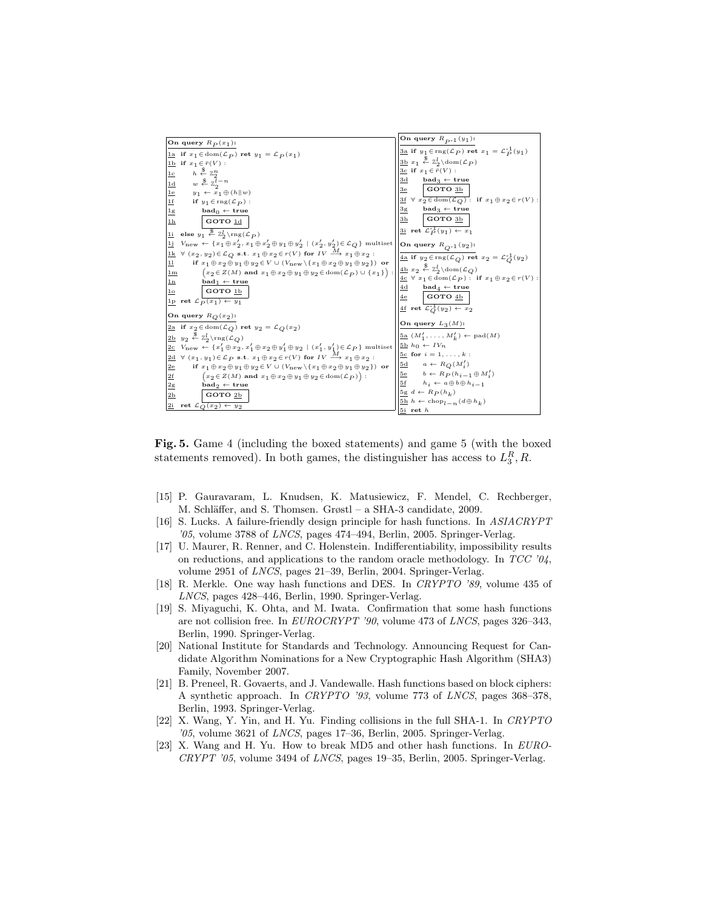|                                                                                                                                                       | On query $R_{p-1}(y_1)$ :                                                                                    |  |
|-------------------------------------------------------------------------------------------------------------------------------------------------------|--------------------------------------------------------------------------------------------------------------|--|
| On query $R_P(x_1)$ :                                                                                                                                 |                                                                                                              |  |
| <u>1a</u> if $x_1 \in \text{dom}(\mathcal{L}_P)$ ret $y_1 = \mathcal{L}_P(x_1)$                                                                       | <u>3a</u> if $y_1 \in \text{rng}(\mathcal{L}_P)$ ret $x_1 = \mathcal{L}_P^{-1}(y_1)$                         |  |
| $\underline{\text{1b}}$ if $x_1 \in \bar{r}(V)$ :                                                                                                     | $\underline{3b} x_1 \stackrel{\$}{\leftarrow} \mathbb{Z}_2^l \setminus \text{dom}(\mathcal{L}_P)$            |  |
| $h \stackrel{\$}{\leftarrow} \mathbb{Z}_2^n$<br>1c                                                                                                    | <u>3c</u> if $x_1 \in \overline{r}(V)$ :                                                                     |  |
| $w \stackrel{\$}{\leftarrow} \mathbb{Z}_2^{l-n}$<br>1d                                                                                                | 3d<br>$bad_3 \leftarrow true$                                                                                |  |
| 1e<br>$y_1 \leftarrow x_1 \oplus (h \,    \, w)$                                                                                                      | $\vert$ GOTO $_{3b}$<br>3e                                                                                   |  |
| $1\ensuremath{\mbox{f}}$<br>if $y_1 \in \text{rng}(\mathcal{L}_P)$ :                                                                                  | $\underline{3f} \quad \forall x \overline{2 \in \text{dom}(\mathcal{L}_Q)}$ : if $x_1 \oplus x_2 \in r(V)$ : |  |
| $\mathbf{\underline{1}\underline{g}}$<br>$bad_0 \leftarrow true$                                                                                      | $bad_3 \leftarrow true$<br>$rac{3g}{2}$                                                                      |  |
| $1\,\mathrm{h}$<br>GOTO <sup>1d</sup>                                                                                                                 | 3 <sub>h</sub><br>$\vert$ GOTO $_{3b}$                                                                       |  |
| 1i else $y_1 \stackrel{\$}{\leftarrow} \mathbb{Z}_2^l \setminus \text{rng}(\mathcal{L}_P)$                                                            | $\underline{3i}$ ret $\overline{\mathcal{L}_P^{-1}(y_1) \leftarrow x_1}$                                     |  |
| $\underline{1j}$ $V_{\text{new}} \leftarrow \{x_1 \oplus x_2', x_1 \oplus x_2' \oplus y_1 \oplus y_2' \mid (x_2', y_2') \in \mathcal{L}_Q\}$ multiset | On query $R_{Q^{-1}}(y_2)$ :                                                                                 |  |
| $\underline{1k}$ $\forall$ $(x_2, y_2) \in \mathcal{L}_O$ s.t. $x_1 \oplus x_2 \in r(V)$ for $IV \stackrel{M}{\longrightarrow} x_1 \oplus x_2$ :      | $\underline{4a}$ if $y_2 \in \text{rng}(\mathcal{L}_Q)$ ret $x_2 = \mathcal{L}_Q^{-1}(y_2)$                  |  |
| if $x_1 \oplus x_2 \oplus y_1 \oplus y_2 \in V \cup (V_{\text{new}} \setminus \{x_1 \oplus x_2 \oplus y_1 \oplus y_2\})$ or<br>11                     | $\frac{4b}{2}x_2 \stackrel{\$}{\leftarrow} \mathbb{Z}_2^l \setminus \text{dom}(\mathcal{L}_Q)$               |  |
| $(x_2 \in Z(M) \text{ and } x_1 \oplus x_2 \oplus y_1 \oplus y_2 \in \text{dom}(\mathcal{L}_P) \cup \{x_1\})$ :<br>1 <sub>m</sub>                     | $\underline{4c} \ \forall \ x_1 \in \text{dom}(\mathcal{L}_P) : \text{ if } x_1 \oplus x_2 \in r(V) :$       |  |
| 1n<br>$bad_1 \leftarrow true$                                                                                                                         | $bad_4 \leftarrow true$                                                                                      |  |
| GOTO <sub>1</sub> b<br>$1\circ$                                                                                                                       | $GOTO$ $4b$                                                                                                  |  |
| 1p ret $\mathcal{L}_P(x_1) \leftarrow y_1$                                                                                                            |                                                                                                              |  |
| On query $R_Q(x_2)$ :                                                                                                                                 | $\underline{4f}$ ret $\overline{\mathcal{L}_O^{-1}(y_2) \leftarrow x_2}$                                     |  |
| $\underline{2a}$ if $x_2 \in \text{dom}(\mathcal{L}_Q)$ ret $y_2 = \mathcal{L}_Q(x_2)$                                                                | On query $L_3(M)$ :                                                                                          |  |
| $\frac{2b}{2}$ $y_2 \stackrel{\$}{\leftarrow} \mathbb{Z}_2^l \setminus \text{rng}(\mathcal{L}_O)$                                                     | $\underline{5a}$ $(M'_1, \ldots, M'_k) \leftarrow$ pad $(M)$                                                 |  |
| $\underline{2c}$ $V_{\text{new}} \leftarrow \{x'_1 \oplus x_2, x'_1 \oplus x_2 \oplus y'_1 \oplus y_2 \mid (x'_1, y'_1) \in \mathcal{L}_P\}$ multiset | $\frac{5b}{n_0}$ + $IV_n$                                                                                    |  |
| 2d $\forall$ $(x_1, y_1) \in \mathcal{L}_P$ s.t. $x_1 \oplus x_2 \in r(V)$ for $IV \stackrel{M}{\longrightarrow} x_1 \oplus x_2$ :                    | <u>5c</u> for $i = 1, , k$ :                                                                                 |  |
| if $x_1 \oplus x_2 \oplus y_1 \oplus y_2 \in V \cup (V_{\text{new}} \setminus \{x_1 \oplus x_2 \oplus y_1 \oplus y_2\})$ or<br>2e                     | $\underline{5d}$ $a \leftarrow R_O(M'_i)$                                                                    |  |
| $(x_2 \in Z(M) \text{ and } x_1 \oplus x_2 \oplus y_1 \oplus y_2 \in \text{dom}(\mathcal{L}_P))$ :<br>2f                                              | $\underline{5e}$ $b \leftarrow R_P(h_{i-1} \oplus M'_i)$                                                     |  |
| 2g<br>$bad_2 \leftarrow true$                                                                                                                         | $h_i \leftarrow a \oplus b \oplus h_{i-1}$                                                                   |  |
| $_{\rm 2h}$<br>GOTO <sub>2b</sub>                                                                                                                     | $5g\ d \leftarrow R_P(h_k)$                                                                                  |  |
| $2i$ ret $\mathcal{L}_O(x_2) \leftarrow y_2$                                                                                                          | $\underline{\text{Sh}}\;h\leftarrow \text{chop}_{l-n}(d\oplus h_k)$                                          |  |
|                                                                                                                                                       | $5i$ ret $h$                                                                                                 |  |

<span id="page-16-9"></span>Fig. 5. Game 4 (including the boxed statements) and game 5 (with the boxed statements removed). In both games, the distinguisher has access to  $L_3^R$ , R.

- <span id="page-16-6"></span>[15] P. Gauravaram, L. Knudsen, K. Matusiewicz, F. Mendel, C. Rechberger, M. Schläffer, and S. Thomsen. Grøstl – a SHA-3 candidate, 2009.
- <span id="page-16-4"></span>[16] S. Lucks. A failure-friendly design principle for hash functions. In ASIACRYPT '05, volume 3788 of LNCS, pages 474–494, Berlin, 2005. Springer-Verlag.
- <span id="page-16-5"></span>[17] U. Maurer, R. Renner, and C. Holenstein. Indifferentiability, impossibility results on reductions, and applications to the random oracle methodology. In  $TCC$  ' $04$ , volume 2951 of LNCS, pages 21–39, Berlin, 2004. Springer-Verlag.
- <span id="page-16-0"></span>[18] R. Merkle. One way hash functions and DES. In CRYPTO '89, volume 435 of LNCS, pages 428–446, Berlin, 1990. Springer-Verlag.
- <span id="page-16-8"></span>[19] S. Miyaguchi, K. Ohta, and M. Iwata. Confirmation that some hash functions are not collision free. In EUROCRYPT '90, volume 473 of LNCS, pages 326–343, Berlin, 1990. Springer-Verlag.
- <span id="page-16-3"></span>[20] National Institute for Standards and Technology. Announcing Request for Candidate Algorithm Nominations for a New Cryptographic Hash Algorithm (SHA3) Family, November 2007.
- <span id="page-16-7"></span>[21] B. Preneel, R. Govaerts, and J. Vandewalle. Hash functions based on block ciphers: A synthetic approach. In CRYPTO '93, volume 773 of LNCS, pages 368–378, Berlin, 1993. Springer-Verlag.
- <span id="page-16-1"></span>[22] X. Wang, Y. Yin, and H. Yu. Finding collisions in the full SHA-1. In CRYPTO  $'05$ , volume 3621 of *LNCS*, pages 17–36, Berlin, 2005. Springer-Verlag.
- <span id="page-16-2"></span>[23] X. Wang and H. Yu. How to break MD5 and other hash functions. In EURO-CRYPT '05, volume 3494 of LNCS, pages 19–35, Berlin, 2005. Springer-Verlag.